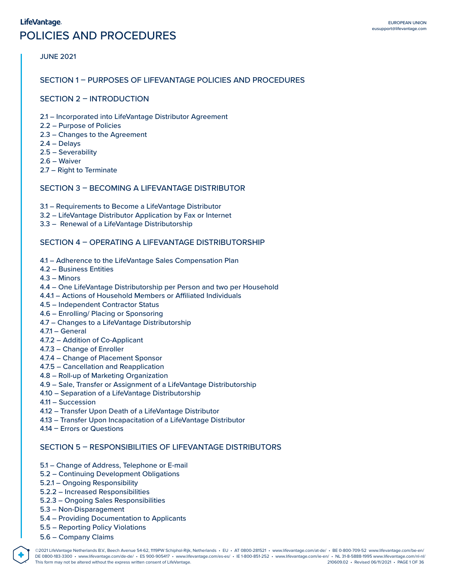### LifeVantage.

# POLICIES AND PROCEDURES

### JUNE 2021

### SECTION 1 – PURPOSES OF LIFEVANTAGE POLICIES AND PROCEDURES

# SECTION 2 – INTRODUCTION

- 2.1 Incorporated into LifeVantage Distributor Agreement
- 2.2 Purpose of Policies
- 2.3 Changes to the Agreement
- 2.4 Delays
- 2.5 Severability
- 2.6 Waiver
- 2.7 Right to Terminate

# SECTION 3 – BECOMING A LIFEVANTAGE DISTRIBUTOR

- 3.1 Requirements to Become a LifeVantage Distributor
- 3.2 LifeVantage Distributor Application by Fax or Internet
- 3.3 Renewal of a LifeVantage Distributorship

### SECTION 4 – OPERATING A LIFEVANTAGE DISTRIBUTORSHIP

- 4.1 Adherence to the LifeVantage Sales Compensation Plan
- 4.2 Business Entities
- 4.3 Minors
- 4.4 One LifeVantage Distributorship per Person and two per Household
- 4.4.1 Actions of Household Members or Affiliated Individuals
- 4.5 Independent Contractor Status
- 4.6 Enrolling/ Placing or Sponsoring
- 4.7 Changes to a LifeVantage Distributorship
- 4.7.1 General
- 4.7.2 Addition of Co-Applicant
- 4.7.3 Change of Enroller
- 4.7.4 Change of Placement Sponsor
- 4.7.5 Cancellation and Reapplication
- 4.8 Roll-up of Marketing Organization
- 4.9 Sale, Transfer or Assignment of a LifeVantage Distributorship
- 4.10 Separation of a LifeVantage Distributorship
- 4.11 Succession
- 4.12 Transfer Upon Death of a LifeVantage Distributor
- 4.13 Transfer Upon Incapacitation of a LifeVantage Distributor
- 4.14 Errors or Questions

# SECTION 5 – RESPONSIBILITIES OF LIFEVANTAGE DISTRIBUTORS

- 5.1 Change of Address, Telephone or E-mail
- 5.2 Continuing Development Obligations
- 5.2.1 Ongoing Responsibility
- 5.2.2 Increased Responsibilities
- 5.2.3 Ongoing Sales Responsibilities
- 5.3 Non-Disparagement
- 5.4 Providing Documentation to Applicants
- 5.5 Reporting Policy Violations
- 5.6 Company Claims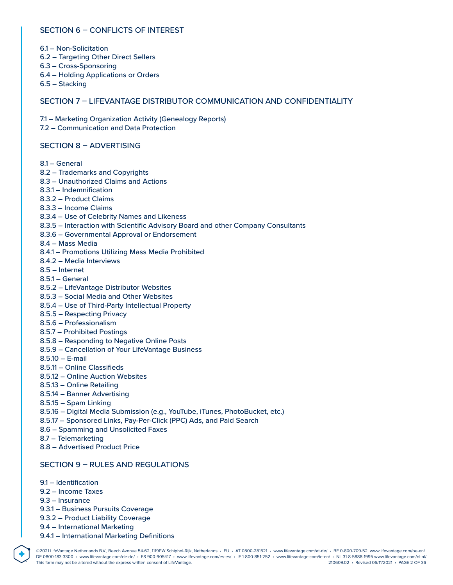# SECTION 6 – CONFLICTS OF INTEREST

- 6.1 Non-Solicitation
- 6.2 Targeting Other Direct Sellers
- 6.3 Cross-Sponsoring
- 6.4 Holding Applications or Orders
- 6.5 Stacking

## SECTION 7 – LIFEVANTAGE DISTRIBUTOR COMMUNICATION AND CONFIDENTIALITY

7.1 – Marketing Organization Activity (Genealogy Reports)

7.2 – Communication and Data Protection

### SECTION 8 – ADVERTISING

- 8.1 General
- 8.2 Trademarks and Copyrights
- 8.3 Unauthorized Claims and Actions
- 8.3.1 Indemnification
- 8.3.2 Product Claims
- 8.3.3 Income Claims
- 8.3.4 Use of Celebrity Names and Likeness
- 8.3.5 Interaction with Scientific Advisory Board and other Company Consultants
- 8.3.6 Governmental Approval or Endorsement
- 8.4 Mass Media
- 8.4.1 Promotions Utilizing Mass Media Prohibited
- 8.4.2 Media Interviews
- 8.5 Internet
- 8.5.1 General
- 8.5.2 LifeVantage Distributor Websites
- 8.5.3 Social Media and Other Websites
- 8.5.4 Use of Third-Party Intellectual Property
- 8.5.5 Respecting Privacy
- 8.5.6 Professionalism
- 8.5.7 Prohibited Postings
- 8.5.8 Responding to Negative Online Posts
- 8.5.9 Cancellation of Your LifeVantage Business
- 8.5.10 E-mail
- 8.5.11 Online Classifieds
- 8.5.12 Online Auction Websites
- 8.5.13 Online Retailing
- 8.5.14 Banner Advertising
- 8.5.15 Spam Linking
- 8.5.16 Digital Media Submission (e.g., YouTube, iTunes, PhotoBucket, etc.)
- 8.5.17 Sponsored Links, Pay-Per-Click (PPC) Ads, and Paid Search
- 8.6 Spamming and Unsolicited Faxes
- 8.7 Telemarketing
- 8.8 Advertised Product Price

# SECTION 9 – RULES AND REGULATIONS

- 9.1 Identification
- 9.2 Income Taxes
- 9.3 Insurance

- 9.3.1 Business Pursuits Coverage
- 9.3.2 Product Liability Coverage
- 9.4 International Marketing
- 9.4.1 International Marketing Definitions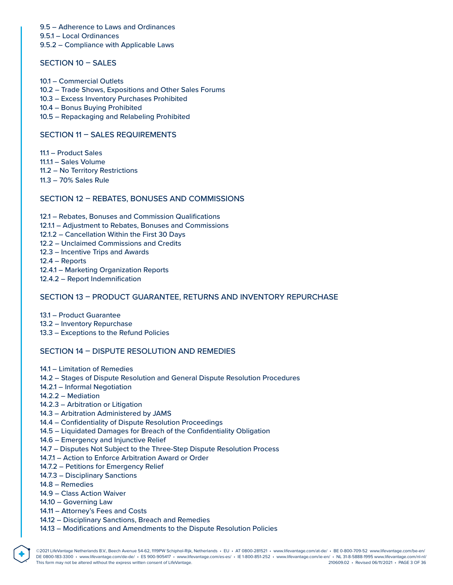9.5 – Adherence to Laws and Ordinances 9.5.1 – Local Ordinances

9.5.2 – Compliance with Applicable Laws

# SECTION 10 – SALES

- 10.1 Commercial Outlets
- 10.2 Trade Shows, Expositions and Other Sales Forums
- 10.3 Excess Inventory Purchases Prohibited
- 10.4 Bonus Buying Prohibited
- 10.5 Repackaging and Relabeling Prohibited

### SECTION 11 – SALES REQUIREMENTS

111 – Product Sales

- 11.1.1 Sales Volume
- 11.2 No Territory Restrictions
- 11.3 70% Sales Rule

# SECTION 12 – REBATES, BONUSES AND COMMISSIONS

- 12.1 Rebates, Bonuses and Commission Qualifications 12.1.1 – Adjustment to Rebates, Bonuses and Commissions 12.1.2 – Cancellation Within the First 30 Days 12.2 – Unclaimed Commissions and Credits 12.3 – Incentive Trips and Awards
- 12.4 Reports
- 12.4.1 Marketing Organization Reports
- 12.4.2 Report Indemnification

# SECTION 13 – PRODUCT GUARANTEE, RETURNS AND INVENTORY REPURCHASE

13.1 – Product Guarantee 13.2 – Inventory Repurchase

13.3 – Exceptions to the Refund Policies

### SECTION 14 – DISPUTE RESOLUTION AND REMEDIES

- 14.1 Limitation of Remedies
- 14.2 Stages of Dispute Resolution and General Dispute Resolution Procedures
- 14.2.1 Informal Negotiation
- 14.2.2 Mediation
- 14.2.3 Arbitration or Litigation
- 14.3 Arbitration Administered by JAMS
- 14.4 Confidentiality of Dispute Resolution Proceedings
- 14.5 Liquidated Damages for Breach of the Confidentiality Obligation
- 14.6 Emergency and Injunctive Relief
- 14.7 Disputes Not Subject to the Three-Step Dispute Resolution Process
- 14.7.1 Action to Enforce Arbitration Award or Order
- 14.7.2 Petitions for Emergency Relief
- 14.7.3 Disciplinary Sanctions
- 14.8 Remedies

- 14.9 Class Action Waiver
- 14.10 Governing Law
- 14.11 Attorney's Fees and Costs
- 14.12 Disciplinary Sanctions, Breach and Remedies
- 14.13 Modifications and Amendments to the Dispute Resolution Policies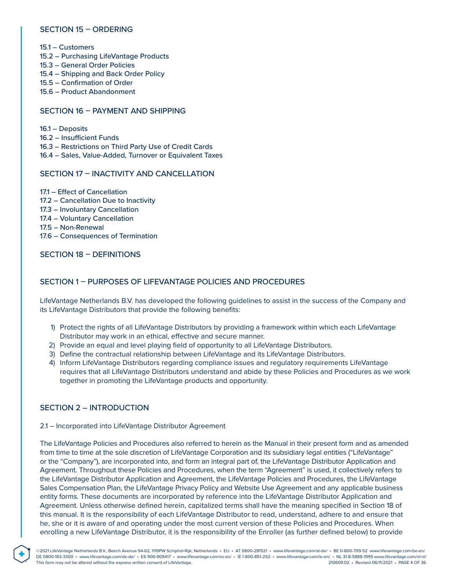### SECTION 15 – ORDERING

- 15.1 Customers
- 15.2 Purchasing LifeVantage Products
- 15.3 General Order Policies
- 15.4 Shipping and Back Order Policy
- 15.5 Confirmation of Order
- 15.6 Product Abandonment

### SECTION 16 – PAYMENT AND SHIPPING

- 16.1 Deposits
- 16.2 Insufficient Funds
- 16.3 Restrictions on Third Party Use of Credit Cards
- 16.4 Sales, Value-Added, Turnover or Equivalent Taxes

### SECTION 17 – INACTIVITY AND CANCELLATION

- 17.1 Effect of Cancellation
- 17.2 Cancellation Due to Inactivity
- 17.3 Involuntary Cancellation
- 17.4 Voluntary Cancellation
- 17.5 Non-Renewal
- 17.6 Consequences of Termination

SECTION 18 – DEFINITIONS

# SECTION 1 – PURPOSES OF LIFEVANTAGE POLICIES AND PROCEDURES

LifeVantage Netherlands B.V. has developed the following guidelines to assist in the success of the Company and its LifeVantage Distributors that provide the following benefits:

- 1) Protect the rights of all LifeVantage Distributors by providing a framework within which each LifeVantage Distributor may work in an ethical, effective and secure manner.
- 2) Provide an equal and level playing field of opportunity to all LifeVantage Distributors.
- 3) Define the contractual relationship between LifeVantage and its LifeVantage Distributors.
- 4) Inform LifeVantage Distributors regarding compliance issues and regulatory requirements LifeVantage requires that all LifeVantage Distributors understand and abide by these Policies and Procedures as we work together in promoting the LifeVantage products and opportunity.

### SECTION 2 – INTRODUCTION

**®**

#### 2.1 – Incorporated into LifeVantage Distributor Agreement

The LifeVantage Policies and Procedures also referred to herein as the Manual in their present form and as amended from time to time at the sole discretion of LifeVantage Corporation and its subsidiary legal entities ("LifeVantage" or the "Company"), are incorporated into, and form an integral part of, the LifeVantage Distributor Application and Agreement. Throughout these Policies and Procedures, when the term "Agreement" is used, it collectively refers to the LifeVantage Distributor Application and Agreement, the LifeVantage Policies and Procedures, the LifeVantage Sales Compensation Plan, the LifeVantage Privacy Policy and Website Use Agreement and any applicable business entity forms. These documents are incorporated by reference into the LifeVantage Distributor Application and Agreement. Unless otherwise defined herein, capitalized terms shall have the meaning specified in Section 18 of this manual. It is the responsibility of each LifeVantage Distributor to read, understand, adhere to and ensure that he, she or it is aware of and operating under the most current version of these Policies and Procedures. When enrolling a new LifeVantage Distributor, it is the responsibility of the Enroller (as further defined below) to provide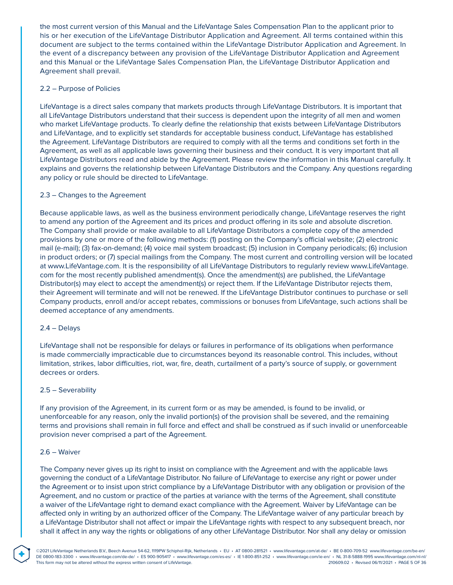the most current version of this Manual and the LifeVantage Sales Compensation Plan to the applicant prior to his or her execution of the LifeVantage Distributor Application and Agreement. All terms contained within this document are subject to the terms contained within the LifeVantage Distributor Application and Agreement. In the event of a discrepancy between any provision of the LifeVantage Distributor Application and Agreement and this Manual or the LifeVantage Sales Compensation Plan, the LifeVantage Distributor Application and Agreement shall prevail.

#### 2.2 – Purpose of Policies

LifeVantage is a direct sales company that markets products through LifeVantage Distributors. It is important that all LifeVantage Distributors understand that their success is dependent upon the integrity of all men and women who market LifeVantage products. To clearly define the relationship that exists between LifeVantage Distributors and LifeVantage, and to explicitly set standards for acceptable business conduct, LifeVantage has established the Agreement. LifeVantage Distributors are required to comply with all the terms and conditions set forth in the Agreement, as well as all applicable laws governing their business and their conduct. It is very important that all LifeVantage Distributors read and abide by the Agreement. Please review the information in this Manual carefully. It explains and governs the relationship between LifeVantage Distributors and the Company. Any questions regarding any policy or rule should be directed to LifeVantage.

### 2.3 – Changes to the Agreement

Because applicable laws, as well as the business environment periodically change, LifeVantage reserves the right to amend any portion of the Agreement and its prices and product offering in its sole and absolute discretion. The Company shall provide or make available to all LifeVantage Distributors a complete copy of the amended provisions by one or more of the following methods: (1) posting on the Company's official website; (2) electronic mail (e-mail); (3) fax-on-demand; (4) voice mail system broadcast; (5) inclusion in Company periodicals; (6) inclusion in product orders; or (7) special mailings from the Company. The most current and controlling version will be located at www.LifeVantage.com. It is the responsibility of all LifeVantage Distributors to regularly review www.LifeVantage. com for the most recently published amendment(s). Once the amendment(s) are published, the LifeVantage Distributor(s) may elect to accept the amendment(s) or reject them. If the LifeVantage Distributor rejects them, their Agreement will terminate and will not be renewed. If the LifeVantage Distributor continues to purchase or sell Company products, enroll and/or accept rebates, commissions or bonuses from LifeVantage, such actions shall be deemed acceptance of any amendments.

#### 2.4 – Delays

LifeVantage shall not be responsible for delays or failures in performance of its obligations when performance is made commercially impracticable due to circumstances beyond its reasonable control. This includes, without limitation, strikes, labor difficulties, riot, war, fire, death, curtailment of a party's source of supply, or government decrees or orders.

#### 2.5 – Severability

If any provision of the Agreement, in its current form or as may be amended, is found to be invalid, or unenforceable for any reason, only the invalid portion(s) of the provision shall be severed, and the remaining terms and provisions shall remain in full force and effect and shall be construed as if such invalid or unenforceable provision never comprised a part of the Agreement.

#### 2.6 – Waiver

**®**

The Company never gives up its right to insist on compliance with the Agreement and with the applicable laws governing the conduct of a LifeVantage Distributor. No failure of LifeVantage to exercise any right or power under the Agreement or to insist upon strict compliance by a LifeVantage Distributor with any obligation or provision of the Agreement, and no custom or practice of the parties at variance with the terms of the Agreement, shall constitute a waiver of the LifeVantage right to demand exact compliance with the Agreement. Waiver by LifeVantage can be affected only in writing by an authorized officer of the Company. The LifeVantage waiver of any particular breach by a LifeVantage Distributor shall not affect or impair the LifeVantage rights with respect to any subsequent breach, nor shall it affect in any way the rights or obligations of any other LifeVantage Distributor. Nor shall any delay or omission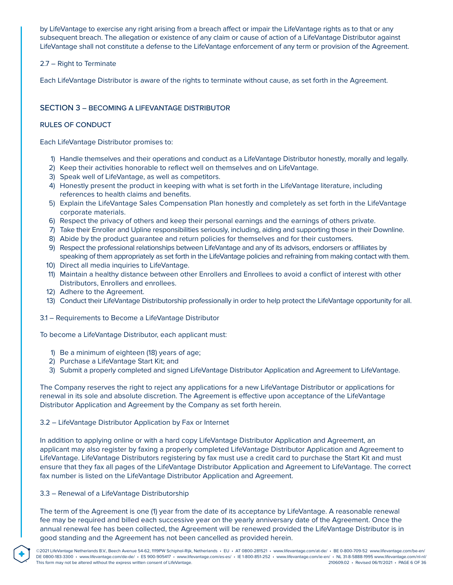by LifeVantage to exercise any right arising from a breach affect or impair the LifeVantage rights as to that or any subsequent breach. The allegation or existence of any claim or cause of action of a LifeVantage Distributor against LifeVantage shall not constitute a defense to the LifeVantage enforcement of any term or provision of the Agreement.

### 2.7 – Right to Terminate

Each LifeVantage Distributor is aware of the rights to terminate without cause, as set forth in the Agreement.

# SECTION 3 – BECOMING A LIFEVANTAGE DISTRIBUTOR

### RULES OF CONDUCT

Each LifeVantage Distributor promises to:

- 1) Handle themselves and their operations and conduct as a LifeVantage Distributor honestly, morally and legally.
- 2) Keep their activities honorable to reflect well on themselves and on LifeVantage.
- 3) Speak well of LifeVantage, as well as competitors.
- 4) Honestly present the product in keeping with what is set forth in the LifeVantage literature, including references to health claims and benefits.
- 5) Explain the LifeVantage Sales Compensation Plan honestly and completely as set forth in the LifeVantage corporate materials.
- 6) Respect the privacy of others and keep their personal earnings and the earnings of others private.
- 7) Take their Enroller and Upline responsibilities seriously, including, aiding and supporting those in their Downline.
- 8) Abide by the product guarantee and return policies for themselves and for their customers.
- 9) Respect the professional relationships between LifeVantage and any of its advisors, endorsers or affiliates by speaking of them appropriately as set forth in the LifeVantage policies and refraining from making contact with them.
- 10) Direct all media inquiries to LifeVantage.
- 11) Maintain a healthy distance between other Enrollers and Enrollees to avoid a conflict of interest with other Distributors, Enrollers and enrollees.
- 12) Adhere to the Agreement.
- 13) Conduct their LifeVantage Distributorship professionally in order to help protect the LifeVantage opportunity for all.
- 3.1 Requirements to Become a LifeVantage Distributor

To become a LifeVantage Distributor, each applicant must:

- 1) Be a minimum of eighteen (18) years of age;
- 2) Purchase a LifeVantage Start Kit; and
- 3) Submit a properly completed and signed LifeVantage Distributor Application and Agreement to LifeVantage.

The Company reserves the right to reject any applications for a new LifeVantage Distributor or applications for renewal in its sole and absolute discretion. The Agreement is effective upon acceptance of the LifeVantage Distributor Application and Agreement by the Company as set forth herein.

### 3.2 – LifeVantage Distributor Application by Fax or Internet

In addition to applying online or with a hard copy LifeVantage Distributor Application and Agreement, an applicant may also register by faxing a properly completed LifeVantage Distributor Application and Agreement to LifeVantage. LifeVantage Distributors registering by fax must use a credit card to purchase the Start Kit and must ensure that they fax all pages of the LifeVantage Distributor Application and Agreement to LifeVantage. The correct fax number is listed on the LifeVantage Distributor Application and Agreement.

### 3.3 – Renewal of a LifeVantage Distributorship

**®**

The term of the Agreement is one (1) year from the date of its acceptance by LifeVantage. A reasonable renewal fee may be required and billed each successive year on the yearly anniversary date of the Agreement. Once the annual renewal fee has been collected, the Agreement will be renewed provided the LifeVantage Distributor is in good standing and the Agreement has not been cancelled as provided herein.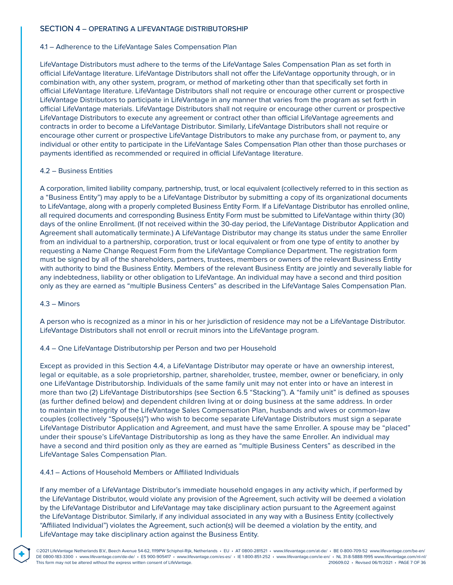### SECTION 4 – OPERATING A LIFEVANTAGE DISTRIBUTORSHIP

#### 4.1 – Adherence to the LifeVantage Sales Compensation Plan

LifeVantage Distributors must adhere to the terms of the LifeVantage Sales Compensation Plan as set forth in official LifeVantage literature. LifeVantage Distributors shall not offer the LifeVantage opportunity through, or in combination with, any other system, program, or method of marketing other than that specifically set forth in official LifeVantage literature. LifeVantage Distributors shall not require or encourage other current or prospective LifeVantage Distributors to participate in LifeVantage in any manner that varies from the program as set forth in official LifeVantage materials. LifeVantage Distributors shall not require or encourage other current or prospective LifeVantage Distributors to execute any agreement or contract other than official LifeVantage agreements and contracts in order to become a LifeVantage Distributor. Similarly, LifeVantage Distributors shall not require or encourage other current or prospective LifeVantage Distributors to make any purchase from, or payment to, any individual or other entity to participate in the LifeVantage Sales Compensation Plan other than those purchases or payments identified as recommended or required in official LifeVantage literature.

#### 4.2 – Business Entities

A corporation, limited liability company, partnership, trust, or local equivalent (collectively referred to in this section as a "Business Entity") may apply to be a LifeVantage Distributor by submitting a copy of its organizational documents to LifeVantage, along with a properly completed Business Entity Form. If a LifeVantage Distributor has enrolled online, all required documents and corresponding Business Entity Form must be submitted to LifeVantage within thirty (30) days of the online Enrollment. (If not received within the 30-day period, the LifeVantage Distributor Application and Agreement shall automatically terminate.) A LifeVantage Distributor may change its status under the same Enroller from an individual to a partnership, corporation, trust or local equivalent or from one type of entity to another by requesting a Name Change Request Form from the LifeVantage Compliance Department. The registration form must be signed by all of the shareholders, partners, trustees, members or owners of the relevant Business Entity with authority to bind the Business Entity. Members of the relevant Business Entity are jointly and severally liable for any indebtedness, liability or other obligation to LifeVantage. An individual may have a second and third position only as they are earned as "multiple Business Centers" as described in the LifeVantage Sales Compensation Plan.

#### 4.3 – Minors

**®**

A person who is recognized as a minor in his or her jurisdiction of residence may not be a LifeVantage Distributor. LifeVantage Distributors shall not enroll or recruit minors into the LifeVantage program.

#### 4.4 – One LifeVantage Distributorship per Person and two per Household

Except as provided in this Section 4.4, a LifeVantage Distributor may operate or have an ownership interest, legal or equitable, as a sole proprietorship, partner, shareholder, trustee, member, owner or beneficiary, in only one LifeVantage Distributorship. Individuals of the same family unit may not enter into or have an interest in more than two (2) LifeVantage Distributorships (see Section 6.5 "Stacking"). A "family unit" is defined as spouses (as further defined below) and dependent children living at or doing business at the same address. In order to maintain the integrity of the LifeVantage Sales Compensation Plan, husbands and wives or common-law couples (collectively "Spouse(s)") who wish to become separate LifeVantage Distributors must sign a separate LifeVantage Distributor Application and Agreement, and must have the same Enroller. A spouse may be "placed" under their spouse's LifeVantage Distributorship as long as they have the same Enroller. An individual may have a second and third position only as they are earned as "multiple Business Centers" as described in the LifeVantage Sales Compensation Plan.

### 4.4.1 – Actions of Household Members or Affiliated Individuals

If any member of a LifeVantage Distributor's immediate household engages in any activity which, if performed by the LifeVantage Distributor, would violate any provision of the Agreement, such activity will be deemed a violation by the LifeVantage Distributor and LifeVantage may take disciplinary action pursuant to the Agreement against the LifeVantage Distributor. Similarly, if any individual associated in any way with a Business Entity (collectively "Affiliated Individual") violates the Agreement, such action(s) will be deemed a violation by the entity, and LifeVantage may take disciplinary action against the Business Entity.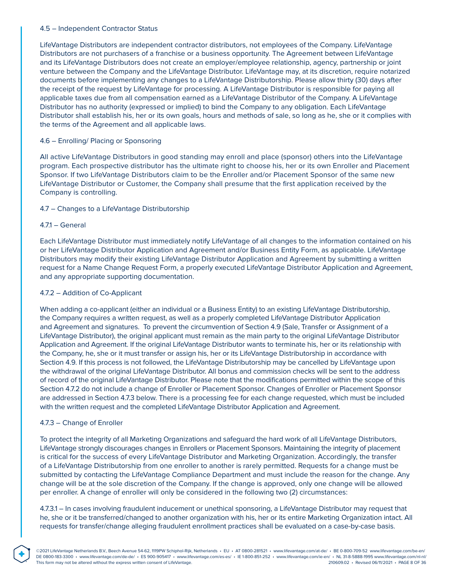### 4.5 – Independent Contractor Status

LifeVantage Distributors are independent contractor distributors, not employees of the Company. LifeVantage Distributors are not purchasers of a franchise or a business opportunity. The Agreement between LifeVantage and its LifeVantage Distributors does not create an employer/employee relationship, agency, partnership or joint venture between the Company and the LifeVantage Distributor. LifeVantage may, at its discretion, require notarized documents before implementing any changes to a LifeVantage Distributorship. Please allow thirty (30) days after the receipt of the request by LifeVantage for processing. A LifeVantage Distributor is responsible for paying all applicable taxes due from all compensation earned as a LifeVantage Distributor of the Company. A LifeVantage Distributor has no authority (expressed or implied) to bind the Company to any obligation. Each LifeVantage Distributor shall establish his, her or its own goals, hours and methods of sale, so long as he, she or it complies with the terms of the Agreement and all applicable laws.

### 4.6 – Enrolling/ Placing or Sponsoring

All active LifeVantage Distributors in good standing may enroll and place (sponsor) others into the LifeVantage program. Each prospective distributor has the ultimate right to choose his, her or its own Enroller and Placement Sponsor. If two LifeVantage Distributors claim to be the Enroller and/or Placement Sponsor of the same new LifeVantage Distributor or Customer, the Company shall presume that the first application received by the Company is controlling.

### 4.7 – Changes to a LifeVantage Distributorship

### 4.7.1 – General

Each LifeVantage Distributor must immediately notify LifeVantage of all changes to the information contained on his or her LifeVantage Distributor Application and Agreement and/or Business Entity Form, as applicable. LifeVantage Distributors may modify their existing LifeVantage Distributor Application and Agreement by submitting a written request for a Name Change Request Form, a properly executed LifeVantage Distributor Application and Agreement, and any appropriate supporting documentation.

## 4.7.2 – Addition of Co-Applicant

When adding a co-applicant (either an individual or a Business Entity) to an existing LifeVantage Distributorship, the Company requires a written request, as well as a properly completed LifeVantage Distributor Application and Agreement and signatures. To prevent the circumvention of Section 4.9 (Sale, Transfer or Assignment of a LifeVantage Distributor), the original applicant must remain as the main party to the original LifeVantage Distributor Application and Agreement. If the original LifeVantage Distributor wants to terminate his, her or its relationship with the Company, he, she or it must transfer or assign his, her or its LifeVantage Distributorship in accordance with Section 4.9. If this process is not followed, the LifeVantage Distributorship may be cancelled by LifeVantage upon the withdrawal of the original LifeVantage Distributor. All bonus and commission checks will be sent to the address of record of the original LifeVantage Distributor. Please note that the modifications permitted within the scope of this Section 4.7.2 do not include a change of Enroller or Placement Sponsor. Changes of Enroller or Placement Sponsor are addressed in Section 4.7.3 below. There is a processing fee for each change requested, which must be included with the written request and the completed LifeVantage Distributor Application and Agreement.

#### 4.7.3 – Change of Enroller

**®**

To protect the integrity of all Marketing Organizations and safeguard the hard work of all LifeVantage Distributors, LifeVantage strongly discourages changes in Enrollers or Placement Sponsors. Maintaining the integrity of placement is critical for the success of every LifeVantage Distributor and Marketing Organization. Accordingly, the transfer of a LifeVantage Distributorship from one enroller to another is rarely permitted. Requests for a change must be submitted by contacting the LifeVantage Compliance Department and must include the reason for the change. Any change will be at the sole discretion of the Company. If the change is approved, only one change will be allowed per enroller. A change of enroller will only be considered in the following two (2) circumstances:

4.7.3.1 – In cases involving fraudulent inducement or unethical sponsoring, a LifeVantage Distributor may request that he, she or it be transferred/changed to another organization with his, her or its entire Marketing Organization intact. All requests for transfer/change alleging fraudulent enrollment practices shall be evaluated on a case-by-case basis.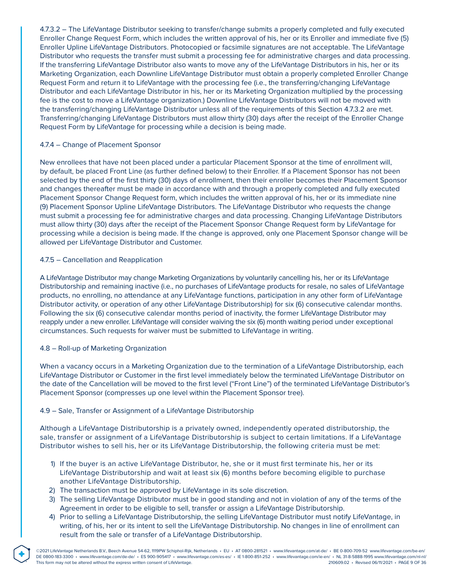4.7.3.2 – The LifeVantage Distributor seeking to transfer/change submits a properly completed and fully executed Enroller Change Request Form, which includes the written approval of his, her or its Enroller and immediate five (5) Enroller Upline LifeVantage Distributors. Photocopied or facsimile signatures are not acceptable. The LifeVantage Distributor who requests the transfer must submit a processing fee for administrative charges and data processing. If the transferring LifeVantage Distributor also wants to move any of the LifeVantage Distributors in his, her or its Marketing Organization, each Downline LifeVantage Distributor must obtain a properly completed Enroller Change Request Form and return it to LifeVantage with the processing fee (i.e., the transferring/changing LifeVantage Distributor and each LifeVantage Distributor in his, her or its Marketing Organization multiplied by the processing fee is the cost to move a LifeVantage organization.) Downline LifeVantage Distributors will not be moved with the transferring/changing LifeVantage Distributor unless all of the requirements of this Section 4.7.3.2 are met. Transferring/changing LifeVantage Distributors must allow thirty (30) days after the receipt of the Enroller Change Request Form by LifeVantage for processing while a decision is being made.

### 4.7.4 – Change of Placement Sponsor

New enrollees that have not been placed under a particular Placement Sponsor at the time of enrollment will, by default, be placed Front Line (as further defined below) to their Enroller. If a Placement Sponsor has not been selected by the end of the first thirty (30) days of enrollment, then their enroller becomes their Placement Sponsor and changes thereafter must be made in accordance with and through a properly completed and fully executed Placement Sponsor Change Request form, which includes the written approval of his, her or its immediate nine (9) Placement Sponsor Upline LifeVantage Distributors. The LifeVantage Distributor who requests the change must submit a processing fee for administrative charges and data processing. Changing LifeVantage Distributors must allow thirty (30) days after the receipt of the Placement Sponsor Change Request form by LifeVantage for processing while a decision is being made. If the change is approved, only one Placement Sponsor change will be allowed per LifeVantage Distributor and Customer.

# 4.7.5 – Cancellation and Reapplication

A LifeVantage Distributor may change Marketing Organizations by voluntarily cancelling his, her or its LifeVantage Distributorship and remaining inactive (i.e., no purchases of LifeVantage products for resale, no sales of LifeVantage products, no enrolling, no attendance at any LifeVantage functions, participation in any other form of LifeVantage Distributor activity, or operation of any other LifeVantage Distributorship) for six (6) consecutive calendar months. Following the six (6) consecutive calendar months period of inactivity, the former LifeVantage Distributor may reapply under a new enroller. LifeVantage will consider waiving the six (6) month waiting period under exceptional circumstances. Such requests for waiver must be submitted to LifeVantage in writing.

### 4.8 – Roll-up of Marketing Organization

**®**

When a vacancy occurs in a Marketing Organization due to the termination of a LifeVantage Distributorship, each LifeVantage Distributor or Customer in the first level immediately below the terminated LifeVantage Distributor on the date of the Cancellation will be moved to the first level ("Front Line") of the terminated LifeVantage Distributor's Placement Sponsor (compresses up one level within the Placement Sponsor tree).

### 4.9 – Sale, Transfer or Assignment of a LifeVantage Distributorship

Although a LifeVantage Distributorship is a privately owned, independently operated distributorship, the sale, transfer or assignment of a LifeVantage Distributorship is subject to certain limitations. If a LifeVantage Distributor wishes to sell his, her or its LifeVantage Distributorship, the following criteria must be met:

- 1) If the buyer is an active LifeVantage Distributor, he, she or it must first terminate his, her or its LifeVantage Distributorship and wait at least six (6) months before becoming eligible to purchase another LifeVantage Distributorship.
- 2) The transaction must be approved by LifeVantage in its sole discretion.
- 3) The selling LifeVantage Distributor must be in good standing and not in violation of any of the terms of the Agreement in order to be eligible to sell, transfer or assign a LifeVantage Distributorship.
- 4) Prior to selling a LifeVantage Distributorship, the selling LifeVantage Distributor must notify LifeVantage, in writing, of his, her or its intent to sell the LifeVantage Distributorship. No changes in line of enrollment can result from the sale or transfer of a LifeVantage Distributorship.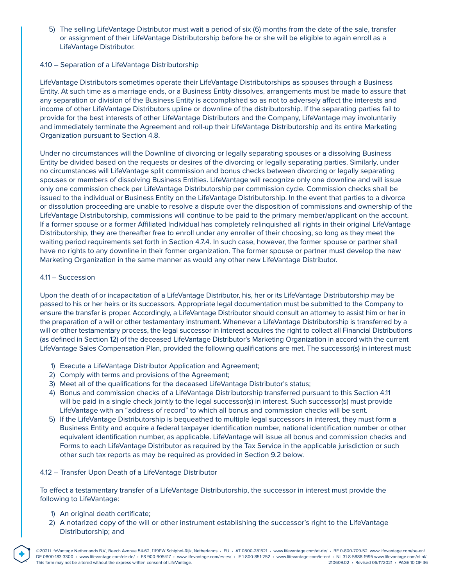5) The selling LifeVantage Distributor must wait a period of six (6) months from the date of the sale, transfer or assignment of their LifeVantage Distributorship before he or she will be eligible to again enroll as a LifeVantage Distributor.

### 4.10 – Separation of a LifeVantage Distributorship

LifeVantage Distributors sometimes operate their LifeVantage Distributorships as spouses through a Business Entity. At such time as a marriage ends, or a Business Entity dissolves, arrangements must be made to assure that any separation or division of the Business Entity is accomplished so as not to adversely affect the interests and income of other LifeVantage Distributors upline or downline of the distributorship. If the separating parties fail to provide for the best interests of other LifeVantage Distributors and the Company, LifeVantage may involuntarily and immediately terminate the Agreement and roll-up their LifeVantage Distributorship and its entire Marketing Organization pursuant to Section 4.8.

Under no circumstances will the Downline of divorcing or legally separating spouses or a dissolving Business Entity be divided based on the requests or desires of the divorcing or legally separating parties. Similarly, under no circumstances will LifeVantage split commission and bonus checks between divorcing or legally separating spouses or members of dissolving Business Entities. LifeVantage will recognize only one downline and will issue only one commission check per LifeVantage Distributorship per commission cycle. Commission checks shall be issued to the individual or Business Entity on the LifeVantage Distributorship. In the event that parties to a divorce or dissolution proceeding are unable to resolve a dispute over the disposition of commissions and ownership of the LifeVantage Distributorship, commissions will continue to be paid to the primary member/applicant on the account. If a former spouse or a former Affiliated Individual has completely relinquished all rights in their original LifeVantage Distributorship, they are thereafter free to enroll under any enroller of their choosing, so long as they meet the waiting period requirements set forth in Section 4.7.4. In such case, however, the former spouse or partner shall have no rights to any downline in their former organization. The former spouse or partner must develop the new Marketing Organization in the same manner as would any other new LifeVantage Distributor.

#### 4.11 – Succession

Upon the death of or incapacitation of a LifeVantage Distributor, his, her or its LifeVantage Distributorship may be passed to his or her heirs or its successors. Appropriate legal documentation must be submitted to the Company to ensure the transfer is proper. Accordingly, a LifeVantage Distributor should consult an attorney to assist him or her in the preparation of a will or other testamentary instrument. Whenever a LifeVantage Distributorship is transferred by a will or other testamentary process, the legal successor in interest acquires the right to collect all Financial Distributions (as defined in Section 12) of the deceased LifeVantage Distributor's Marketing Organization in accord with the current LifeVantage Sales Compensation Plan, provided the following qualifications are met. The successor(s) in interest must:

- 1) Execute a LifeVantage Distributor Application and Agreement;
- 2) Comply with terms and provisions of the Agreement;
- 3) Meet all of the qualifications for the deceased LifeVantage Distributor's status;
- 4) Bonus and commission checks of a LifeVantage Distributorship transferred pursuant to this Section 4.11 will be paid in a single check jointly to the legal successor(s) in interest. Such successor(s) must provide LifeVantage with an "address of record" to which all bonus and commission checks will be sent.
- 5) If the LifeVantage Distributorship is bequeathed to multiple legal successors in interest, they must form a Business Entity and acquire a federal taxpayer identification number, national identification number or other equivalent identification number, as applicable. LifeVantage will issue all bonus and commission checks and Forms to each LifeVantage Distributor as required by the Tax Service in the applicable jurisdiction or such other such tax reports as may be required as provided in Section 9.2 below.

#### 4.12 – Transfer Upon Death of a LifeVantage Distributor

To effect a testamentary transfer of a LifeVantage Distributorship, the successor in interest must provide the following to LifeVantage:

1) An original death certificate;

**®**

2) A notarized copy of the will or other instrument establishing the successor's right to the LifeVantage Distributorship; and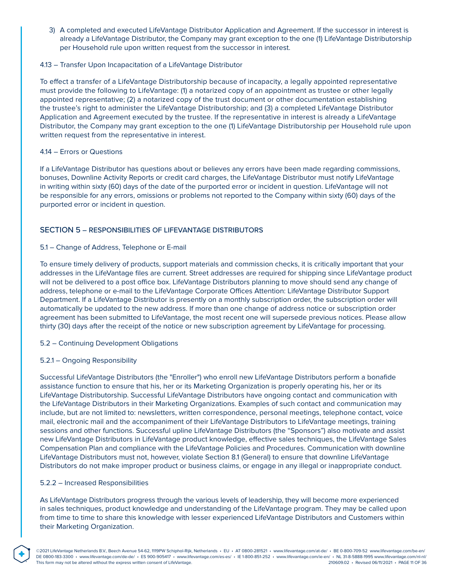3) A completed and executed LifeVantage Distributor Application and Agreement. If the successor in interest is already a LifeVantage Distributor, the Company may grant exception to the one (1) LifeVantage Distributorship per Household rule upon written request from the successor in interest.

### 4.13 – Transfer Upon Incapacitation of a LifeVantage Distributor

To effect a transfer of a LifeVantage Distributorship because of incapacity, a legally appointed representative must provide the following to LifeVantage: (1) a notarized copy of an appointment as trustee or other legally appointed representative; (2) a notarized copy of the trust document or other documentation establishing the trustee's right to administer the LifeVantage Distributorship; and (3) a completed LifeVantage Distributor Application and Agreement executed by the trustee. If the representative in interest is already a LifeVantage Distributor, the Company may grant exception to the one (1) LifeVantage Distributorship per Household rule upon written request from the representative in interest.

### 4.14 – Errors or Questions

If a LifeVantage Distributor has questions about or believes any errors have been made regarding commissions, bonuses, Downline Activity Reports or credit card charges, the LifeVantage Distributor must notify LifeVantage in writing within sixty (60) days of the date of the purported error or incident in question. LifeVantage will not be responsible for any errors, omissions or problems not reported to the Company within sixty (60) days of the purported error or incident in question.

### SECTION 5 – RESPONSIBILITIES OF LIFEVANTAGE DISTRIBUTORS

### 5.1 – Change of Address, Telephone or E-mail

To ensure timely delivery of products, support materials and commission checks, it is critically important that your addresses in the LifeVantage files are current. Street addresses are required for shipping since LifeVantage product will not be delivered to a post office box. LifeVantage Distributors planning to move should send any change of address, telephone or e-mail to the LifeVantage Corporate Offices Attention: LifeVantage Distributor Support Department. If a LifeVantage Distributor is presently on a monthly subscription order, the subscription order will automatically be updated to the new address. If more than one change of address notice or subscription order agreement has been submitted to LifeVantage, the most recent one will supersede previous notices. Please allow thirty (30) days after the receipt of the notice or new subscription agreement by LifeVantage for processing.

### 5.2 – Continuing Development Obligations

#### 5.2.1 – Ongoing Responsibility

Successful LifeVantage Distributors (the "Enroller") who enroll new LifeVantage Distributors perform a bonafide assistance function to ensure that his, her or its Marketing Organization is properly operating his, her or its LifeVantage Distributorship. Successful LifeVantage Distributors have ongoing contact and communication with the LifeVantage Distributors in their Marketing Organizations. Examples of such contact and communication may include, but are not limited to: newsletters, written correspondence, personal meetings, telephone contact, voice mail, electronic mail and the accompaniment of their LifeVantage Distributors to LifeVantage meetings, training sessions and other functions. Successful upline LifeVantage Distributors (the "Sponsors") also motivate and assist new LifeVantage Distributors in LifeVantage product knowledge, effective sales techniques, the LifeVantage Sales Compensation Plan and compliance with the LifeVantage Policies and Procedures. Communication with downline LifeVantage Distributors must not, however, violate Section 8.1 (General) to ensure that downline LifeVantage Distributors do not make improper product or business claims, or engage in any illegal or inappropriate conduct.

#### 5.2.2 – Increased Responsibilities

**®**

As LifeVantage Distributors progress through the various levels of leadership, they will become more experienced in sales techniques, product knowledge and understanding of the LifeVantage program. They may be called upon from time to time to share this knowledge with lesser experienced LifeVantage Distributors and Customers within their Marketing Organization.

©2021 LifeVantage Netherlands B.V., Beech Avenue 54-62, 1119PW Schiphol-Rijk, Netherlands • EU • AT 0800-281521 • www.lifevantage.com/at-de/ • BE 0-800-709-52 www.lifevantage.com/be-en/ DE 0800-183-3300 • www.lifevantage.com/de-de/ • ES 900-905417 • www.lifevantage.com/es-es/ • IE 1-800-851-252 • www.lifevantage.com/ie-en/ • NL 31-8-5888-1995 www.lifevantage.com/nl-nl/ This form may not be altered without the express written consent of LifeVantage. 210609.02 • Revised 06/11/2021 • PAGE 11 OF 36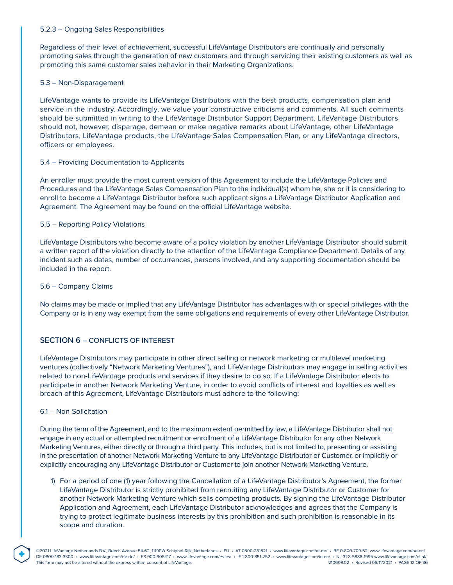### 5.2.3 – Ongoing Sales Responsibilities

Regardless of their level of achievement, successful LifeVantage Distributors are continually and personally promoting sales through the generation of new customers and through servicing their existing customers as well as promoting this same customer sales behavior in their Marketing Organizations.

### 5.3 – Non-Disparagement

LifeVantage wants to provide its LifeVantage Distributors with the best products, compensation plan and service in the industry. Accordingly, we value your constructive criticisms and comments. All such comments should be submitted in writing to the LifeVantage Distributor Support Department. LifeVantage Distributors should not, however, disparage, demean or make negative remarks about LifeVantage, other LifeVantage Distributors, LifeVantage products, the LifeVantage Sales Compensation Plan, or any LifeVantage directors, officers or employees.

### 5.4 – Providing Documentation to Applicants

An enroller must provide the most current version of this Agreement to include the LifeVantage Policies and Procedures and the LifeVantage Sales Compensation Plan to the individual(s) whom he, she or it is considering to enroll to become a LifeVantage Distributor before such applicant signs a LifeVantage Distributor Application and Agreement. The Agreement may be found on the official LifeVantage website.

### 5.5 – Reporting Policy Violations

LifeVantage Distributors who become aware of a policy violation by another LifeVantage Distributor should submit a written report of the violation directly to the attention of the LifeVantage Compliance Department. Details of any incident such as dates, number of occurrences, persons involved, and any supporting documentation should be included in the report.

### 5.6 – Company Claims

No claims may be made or implied that any LifeVantage Distributor has advantages with or special privileges with the Company or is in any way exempt from the same obligations and requirements of every other LifeVantage Distributor.

### SECTION 6 – CONFLICTS OF INTEREST

LifeVantage Distributors may participate in other direct selling or network marketing or multilevel marketing ventures (collectively "Network Marketing Ventures"), and LifeVantage Distributors may engage in selling activities related to non-LifeVantage products and services if they desire to do so. If a LifeVantage Distributor elects to participate in another Network Marketing Venture, in order to avoid conflicts of interest and loyalties as well as breach of this Agreement, LifeVantage Distributors must adhere to the following:

#### 6.1 – Non-Solicitation

During the term of the Agreement, and to the maximum extent permitted by law, a LifeVantage Distributor shall not engage in any actual or attempted recruitment or enrollment of a LifeVantage Distributor for any other Network Marketing Ventures, either directly or through a third party. This includes, but is not limited to, presenting or assisting in the presentation of another Network Marketing Venture to any LifeVantage Distributor or Customer, or implicitly or explicitly encouraging any LifeVantage Distributor or Customer to join another Network Marketing Venture.

1) For a period of one (1) year following the Cancellation of a LifeVantage Distributor's Agreement, the former LifeVantage Distributor is strictly prohibited from recruiting any LifeVantage Distributor or Customer for another Network Marketing Venture which sells competing products. By signing the LifeVantage Distributor Application and Agreement, each LifeVantage Distributor acknowledges and agrees that the Company is trying to protect legitimate business interests by this prohibition and such prohibition is reasonable in its scope and duration.

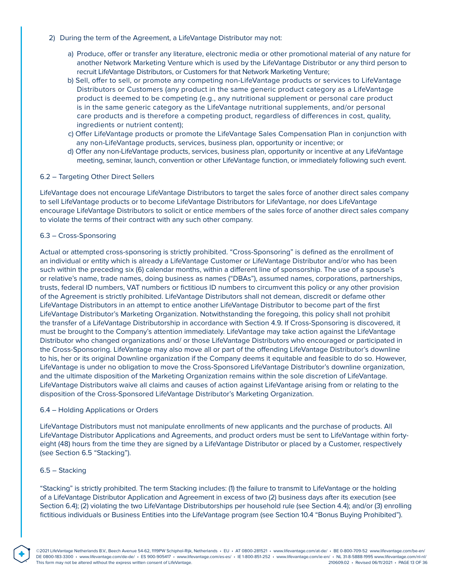- 2) During the term of the Agreement, a LifeVantage Distributor may not:
	- a) Produce, offer or transfer any literature, electronic media or other promotional material of any nature for another Network Marketing Venture which is used by the LifeVantage Distributor or any third person to recruit LifeVantage Distributors, or Customers for that Network Marketing Venture;
	- b) Sell, offer to sell, or promote any competing non-LifeVantage products or services to LifeVantage Distributors or Customers (any product in the same generic product category as a LifeVantage product is deemed to be competing (e.g., any nutritional supplement or personal care product is in the same generic category as the LifeVantage nutritional supplements, and/or personal care products and is therefore a competing product, regardless of differences in cost, quality, ingredients or nutrient content);
	- c) Offer LifeVantage products or promote the LifeVantage Sales Compensation Plan in conjunction with any non-LifeVantage products, services, business plan, opportunity or incentive; or
	- d) Offer any non-LifeVantage products, services, business plan, opportunity or incentive at any LifeVantage meeting, seminar, launch, convention or other LifeVantage function, or immediately following such event.

### 6.2 – Targeting Other Direct Sellers

LifeVantage does not encourage LifeVantage Distributors to target the sales force of another direct sales company to sell LifeVantage products or to become LifeVantage Distributors for LifeVantage, nor does LifeVantage encourage LifeVantage Distributors to solicit or entice members of the sales force of another direct sales company to violate the terms of their contract with any such other company.

### 6.3 – Cross-Sponsoring

Actual or attempted cross-sponsoring is strictly prohibited. "Cross-Sponsoring" is defined as the enrollment of an individual or entity which is already a LifeVantage Customer or LifeVantage Distributor and/or who has been such within the preceding six (6) calendar months, within a different line of sponsorship. The use of a spouse's or relative's name, trade names, doing business as names ("DBAs"), assumed names, corporations, partnerships, trusts, federal ID numbers, VAT numbers or fictitious ID numbers to circumvent this policy or any other provision of the Agreement is strictly prohibited. LifeVantage Distributors shall not demean, discredit or defame other LifeVantage Distributors in an attempt to entice another LifeVantage Distributor to become part of the first LifeVantage Distributor's Marketing Organization. Notwithstanding the foregoing, this policy shall not prohibit the transfer of a LifeVantage Distributorship in accordance with Section 4.9. If Cross-Sponsoring is discovered, it must be brought to the Company's attention immediately. LifeVantage may take action against the LifeVantage Distributor who changed organizations and/ or those LifeVantage Distributors who encouraged or participated in the Cross-Sponsoring. LifeVantage may also move all or part of the offending LifeVantage Distributor's downline to his, her or its original Downline organization if the Company deems it equitable and feasible to do so. However, LifeVantage is under no obligation to move the Cross-Sponsored LifeVantage Distributor's downline organization, and the ultimate disposition of the Marketing Organization remains within the sole discretion of LifeVantage. LifeVantage Distributors waive all claims and causes of action against LifeVantage arising from or relating to the disposition of the Cross-Sponsored LifeVantage Distributor's Marketing Organization.

#### 6.4 – Holding Applications or Orders

LifeVantage Distributors must not manipulate enrollments of new applicants and the purchase of products. All LifeVantage Distributor Applications and Agreements, and product orders must be sent to LifeVantage within fortyeight (48) hours from the time they are signed by a LifeVantage Distributor or placed by a Customer, respectively (see Section 6.5 "Stacking").

#### 6.5 – Stacking

"Stacking" is strictly prohibited. The term Stacking includes: (1) the failure to transmit to LifeVantage or the holding of a LifeVantage Distributor Application and Agreement in excess of two (2) business days after its execution (see Section 6.4); (2) violating the two LifeVantage Distributorships per household rule (see Section 4.4); and/or (3) enrolling fictitious individuals or Business Entities into the LifeVantage program (see Section 10.4 "Bonus Buying Prohibited").

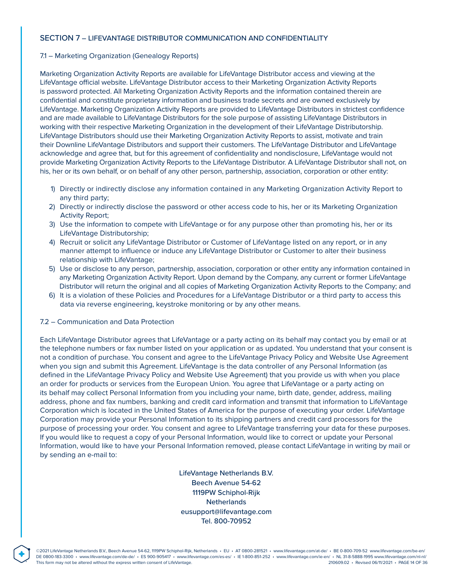### SECTION 7 – LIFEVANTAGE DISTRIBUTOR COMMUNICATION AND CONFIDENTIALITY

### 7.1 – Marketing Organization (Genealogy Reports)

Marketing Organization Activity Reports are available for LifeVantage Distributor access and viewing at the LifeVantage official website. LifeVantage Distributor access to their Marketing Organization Activity Reports is password protected. All Marketing Organization Activity Reports and the information contained therein are confidential and constitute proprietary information and business trade secrets and are owned exclusively by LifeVantage. Marketing Organization Activity Reports are provided to LifeVantage Distributors in strictest confidence and are made available to LifeVantage Distributors for the sole purpose of assisting LifeVantage Distributors in working with their respective Marketing Organization in the development of their LifeVantage Distributorship. LifeVantage Distributors should use their Marketing Organization Activity Reports to assist, motivate and train their Downline LifeVantage Distributors and support their customers. The LifeVantage Distributor and LifeVantage acknowledge and agree that, but for this agreement of confidentiality and nondisclosure, LifeVantage would not provide Marketing Organization Activity Reports to the LifeVantage Distributor. A LifeVantage Distributor shall not, on his, her or its own behalf, or on behalf of any other person, partnership, association, corporation or other entity:

- 1) Directly or indirectly disclose any information contained in any Marketing Organization Activity Report to any third party;
- 2) Directly or indirectly disclose the password or other access code to his, her or its Marketing Organization Activity Report;
- 3) Use the information to compete with LifeVantage or for any purpose other than promoting his, her or its LifeVantage Distributorship;
- 4) Recruit or solicit any LifeVantage Distributor or Customer of LifeVantage listed on any report, or in any manner attempt to influence or induce any LifeVantage Distributor or Customer to alter their business relationship with LifeVantage;
- 5) Use or disclose to any person, partnership, association, corporation or other entity any information contained in any Marketing Organization Activity Report. Upon demand by the Company, any current or former LifeVantage Distributor will return the original and all copies of Marketing Organization Activity Reports to the Company; and
- 6) It is a violation of these Policies and Procedures for a LifeVantage Distributor or a third party to access this data via reverse engineering, keystroke monitoring or by any other means.

#### 7.2 – Communication and Data Protection

**®**

Each LifeVantage Distributor agrees that LifeVantage or a party acting on its behalf may contact you by email or at the telephone numbers or fax number listed on your application or as updated. You understand that your consent is not a condition of purchase. You consent and agree to the LifeVantage Privacy Policy and Website Use Agreement when you sign and submit this Agreement. LifeVantage is the data controller of any Personal Information (as defined in the LifeVantage Privacy Policy and Website Use Agreement) that you provide us with when you place an order for products or services from the European Union. You agree that LifeVantage or a party acting on its behalf may collect Personal Information from you including your name, birth date, gender, address, mailing address, phone and fax numbers, banking and credit card information and transmit that information to LifeVantage Corporation which is located in the United States of America for the purpose of executing your order. LifeVantage Corporation may provide your Personal Information to its shipping partners and credit card processors for the purpose of processing your order. You consent and agree to LifeVantage transferring your data for these purposes. If you would like to request a copy of your Personal Information, would like to correct or update your Personal Information, would like to have your Personal Information removed, please contact LifeVantage in writing by mail or by sending an e-mail to:

> LifeVantage Netherlands B.V. Beech Avenue 54-62 1119PW Schiphol-Rijk **Netherlands** eusupport@lifevantage.com Tel. 800-70952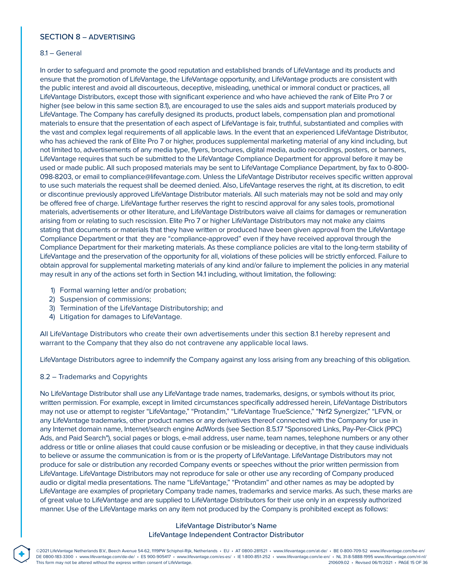## SECTION 8 – ADVERTISING

#### 8.1 – General

In order to safeguard and promote the good reputation and established brands of LifeVantage and its products and ensure that the promotion of LifeVantage, the LifeVantage opportunity, and LifeVantage products are consistent with the public interest and avoid all discourteous, deceptive, misleading, unethical or immoral conduct or practices, all LifeVantage Distributors, except those with significant experience and who have achieved the rank of Elite Pro 7 or higher (see below in this same section 8.1), are encouraged to use the sales aids and support materials produced by LifeVantage. The Company has carefully designed its products, product labels, compensation plan and promotional materials to ensure that the presentation of each aspect of LifeVantage is fair, truthful, substantiated and complies with the vast and complex legal requirements of all applicable laws. In the event that an experienced LifeVantage Distributor, who has achieved the rank of Elite Pro 7 or higher, produces supplemental marketing material of any kind including, but not limited to, advertisements of any media type, flyers, brochures, digital media, audio recordings, posters, or banners, LifeVantage requires that such be submitted to the LifeVantage Compliance Department for approval before it may be used or made public. All such proposed materials may be sent to LifeVantage Compliance Department, by fax to 0-800- 098-8203, or email to compliance@lifevantage.com. Unless the LifeVantage Distributor receives specific written approval to use such materials the request shall be deemed denied. Also, LifeVantage reserves the right, at its discretion, to edit or discontinue previously approved LifeVantage Distributor materials. All such materials may not be sold and may only be offered free of charge. LifeVantage further reserves the right to rescind approval for any sales tools, promotional materials, advertisements or other literature, and LifeVantage Distributors waive all claims for damages or remuneration arising from or relating to such rescission. Elite Pro 7 or higher LifeVantage Distributors may not make any claims stating that documents or materials that they have written or produced have been given approval from the LifeVantage Compliance Department or that they are "compliance-approved" even if they have received approval through the Compliance Department for their marketing materials. As these compliance policies are vital to the long-term stability of LifeVantage and the preservation of the opportunity for all, violations of these policies will be strictly enforced. Failure to obtain approval for supplemental marketing materials of any kind and/or failure to implement the policies in any material may result in any of the actions set forth in Section 14.1 including, without limitation, the following:

- 1) Formal warning letter and/or probation;
- 2) Suspension of commissions;
- 3) Termination of the LifeVantage Distributorship; and
- 4) Litigation for damages to LifeVantage.

All LifeVantage Distributors who create their own advertisements under this section 8.1 hereby represent and warrant to the Company that they also do not contravene any applicable local laws.

LifeVantage Distributors agree to indemnify the Company against any loss arising from any breaching of this obligation.

### 8.2 – Trademarks and Copyrights

**®**

No LifeVantage Distributor shall use any LifeVantage trade names, trademarks, designs, or symbols without its prior, written permission. For example, except in limited circumstances specifically addressed herein, LifeVantage Distributors may not use or attempt to register "LifeVantage," "Protandim," "LifeVantage TrueScience," "Nrf2 Synergizer," "LFVN, or any LifeVantage trademarks, other product names or any derivatives thereof connected with the Company for use in any Internet domain name, Internet/search engine AdWords (see Section 8.5.17 "Sponsored Links, Pay-Per-Click (PPC) Ads, and Paid Search"), social pages or blogs, e-mail address, user name, team names, telephone numbers or any other address or title or online aliases that could cause confusion or be misleading or deceptive, in that they cause individuals to believe or assume the communication is from or is the property of LifeVantage. LifeVantage Distributors may not produce for sale or distribution any recorded Company events or speeches without the prior written permission from LifeVantage. LifeVantage Distributors may not reproduce for sale or other use any recording of Company produced audio or digital media presentations. The name "LifeVantage," "Protandim" and other names as may be adopted by LifeVantage are examples of proprietary Company trade names, trademarks and service marks. As such, these marks are of great value to LifeVantage and are supplied to LifeVantage Distributors for their use only in an expressly authorized manner. Use of the LifeVantage marks on any item not produced by the Company is prohibited except as follows:

# LifeVantage Distributor's Name LifeVantage Independent Contractor Distributor

©2021 LifeVantage Netherlands B.V., Beech Avenue 54-62, 1119PW Schiphol-Rijk, Netherlands · EU · AT 0800-281521 · www.lifevantage.com/at-de/ · BE 0-800-709-52 www.lifevantage.com/be-en/ DE 0800-183-3300 • www.lifevantage.com/de-de/ • ES 900-905417 • www.lifevantage.com/es-es/ • IE 1-800-851-252 • www.lifevantage.com/ie-en/ • NL 31-8-5888-1995 www.lifevantage.com/nl-nl/ This form may not be altered without the express written consent of LifeVantage. 210609.02 • Revised 06/11/2021 • PAGE 15 OF 36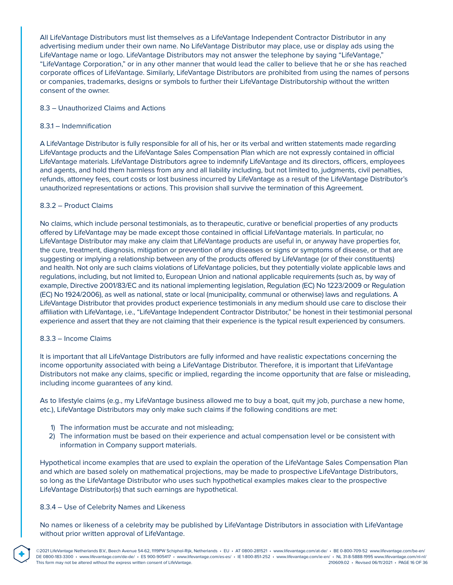All LifeVantage Distributors must list themselves as a LifeVantage Independent Contractor Distributor in any advertising medium under their own name. No LifeVantage Distributor may place, use or display ads using the LifeVantage name or logo. LifeVantage Distributors may not answer the telephone by saying "LifeVantage," "LifeVantage Corporation," or in any other manner that would lead the caller to believe that he or she has reached corporate offices of LifeVantage. Similarly, LifeVantage Distributors are prohibited from using the names of persons or companies, trademarks, designs or symbols to further their LifeVantage Distributorship without the written consent of the owner.

### 8.3 – Unauthorized Claims and Actions

### 8.3.1 – Indemnification

A LifeVantage Distributor is fully responsible for all of his, her or its verbal and written statements made regarding LifeVantage products and the LifeVantage Sales Compensation Plan which are not expressly contained in official LifeVantage materials. LifeVantage Distributors agree to indemnify LifeVantage and its directors, officers, employees and agents, and hold them harmless from any and all liability including, but not limited to, judgments, civil penalties, refunds, attorney fees, court costs or lost business incurred by LifeVantage as a result of the LifeVantage Distributor's unauthorized representations or actions. This provision shall survive the termination of this Agreement.

### 8.3.2 – Product Claims

No claims, which include personal testimonials, as to therapeutic, curative or beneficial properties of any products offered by LifeVantage may be made except those contained in official LifeVantage materials. In particular, no LifeVantage Distributor may make any claim that LifeVantage products are useful in, or anyway have properties for, the cure, treatment, diagnosis, mitigation or prevention of any diseases or signs or symptoms of disease, or that are suggesting or implying a relationship between any of the products offered by LifeVantage (or of their constituents) and health. Not only are such claims violations of LifeVantage policies, but they potentially violate applicable laws and regulations, including, but not limited to, European Union and national applicable requirements (such as, by way of example, Directive 2001/83/EC and its national implementing legislation, Regulation (EC) No 1223/2009 or Regulation (EC) No 1924/2006), as well as national, state or local (municipality, communal or otherwise) laws and regulations. A LifeVantage Distributor that provides product experience testimonials in any medium should use care to disclose their affiliation with LifeVantage, i.e., "LifeVantage Independent Contractor Distributor," be honest in their testimonial personal experience and assert that they are not claiming that their experience is the typical result experienced by consumers.

#### 8.3.3 – Income Claims

**®**

It is important that all LifeVantage Distributors are fully informed and have realistic expectations concerning the income opportunity associated with being a LifeVantage Distributor. Therefore, it is important that LifeVantage Distributors not make any claims, specific or implied, regarding the income opportunity that are false or misleading, including income guarantees of any kind.

As to lifestyle claims (e.g., my LifeVantage business allowed me to buy a boat, quit my job, purchase a new home, etc.), LifeVantage Distributors may only make such claims if the following conditions are met:

- 1) The information must be accurate and not misleading;
- 2) The information must be based on their experience and actual compensation level or be consistent with information in Company support materials.

Hypothetical income examples that are used to explain the operation of the LifeVantage Sales Compensation Plan and which are based solely on mathematical projections, may be made to prospective LifeVantage Distributors, so long as the LifeVantage Distributor who uses such hypothetical examples makes clear to the prospective LifeVantage Distributor(s) that such earnings are hypothetical.

### 8.3.4 – Use of Celebrity Names and Likeness

No names or likeness of a celebrity may be published by LifeVantage Distributors in association with LifeVantage without prior written approval of LifeVantage.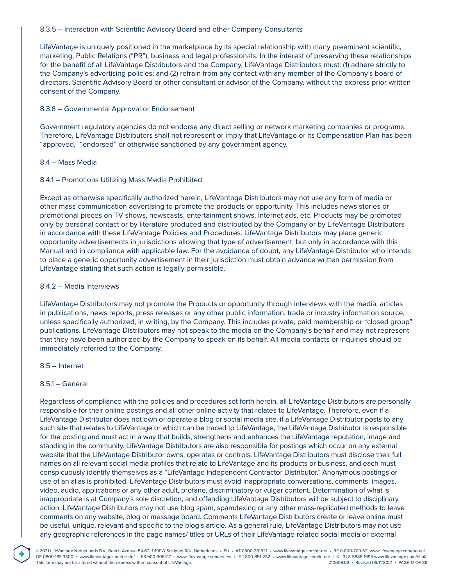### 8.3.5 – Interaction with Scientific Advisory Board and other Company Consultants

LifeVantage is uniquely positioned in the marketplace by its special relationship with many preeminent scientific, marketing, Public Relations ("PR"), business and legal professionals. In the interest of preserving these relationships for the benefit of all LifeVantage Distributors and the Company, LifeVantage Distributors must: (1) adhere strictly to the Company's advertising policies; and (2) refrain from any contact with any member of the Company's board of directors, Scientific Advisory Board or other consultant or advisor of the Company, without the express prior written consent of the Company.

### 8.3.6 – Governmental Approval or Endorsement

Government regulatory agencies do not endorse any direct selling or network marketing companies or programs. Therefore, LifeVantage Distributors shall not represent or imply that LifeVantage or its Compensation Plan has been "approved," "endorsed" or otherwise sanctioned by any government agency.

### 8.4 – Mass Media

### 8.4.1 – Promotions Utilizing Mass Media Prohibited

Except as otherwise specifically authorized herein, LifeVantage Distributors may not use any form of media or other mass communication advertising to promote the products or opportunity. This includes news stories or promotional pieces on TV shows, newscasts, entertainment shows, Internet ads, etc. Products may be promoted only by personal contact or by literature produced and distributed by the Company or by LifeVantage Distributors in accordance with these LifeVantage Policies and Procedures. LifeVantage Distributors may place generic opportunity advertisements in jurisdictions allowing that type of advertisement, but only in accordance with this Manual and in compliance with applicable law. For the avoidance of doubt, any LifeVantage Distributor who intends to place a generic opportunity advertisement in their jurisdiction must obtain advance written permission from LifeVantage stating that such action is legally permissible.

### 8.4.2 – Media Interviews

LifeVantage Distributors may not promote the Products or opportunity through interviews with the media, articles in publications, news reports, press releases or any other public information, trade or industry information source, unless specifically authorized, in writing, by the Company. This includes private, paid membership or "closed group" publications. LifeVantage Distributors may not speak to the media on the Company's behalf and may not represent that they have been authorized by the Company to speak on its behalf. All media contacts or inquiries should be immediately referred to the Company.

### 8.5 – Internet

### 8.5.1 – General

**®**

Regardless of compliance with the policies and procedures set forth herein, all LifeVantage Distributors are personally responsible for their online postings and all other online activity that relates to LifeVantage. Therefore, even if a LifeVantage Distributor does not own or operate a blog or social media site, if a LifeVantage Distributor posts to any such site that relates to LifeVantage or which can be traced to LifeVantage, the LifeVantage Distributor is responsible for the posting and must act in a way that builds, strengthens and enhances the LifeVantage reputation, image and standing in the community. LifeVantage Distributors are also responsible for postings which occur on any external website that the LifeVantage Distributor owns, operates or controls. LifeVantage Distributors must disclose their full names on all relevant social media profiles that relate to LifeVantage and its products or business, and each must conspicuously identify themselves as a "LifeVantage Independent Contractor Distributor." Anonymous postings or use of an alias is prohibited. LifeVantage Distributors must avoid inappropriate conversations, comments, images, video, audio, applications or any other adult, profane, discriminatory or vulgar content. Determination of what is inappropriate is at Company's sole discretion, and offending LifeVantage Distributors will be subject to disciplinary action. LifeVantage Distributors may not use blog spam, spamdexing or any other mass-replicated methods to leave comments on any website, blog or message board. Comments LifeVantage Distributors create or leave online must be useful, unique, relevant and specific to the blog's article. As a general rule, LifeVantage Distributors may not use any geographic references in the page names/ titles or URLs of their LifeVantage-related social media or external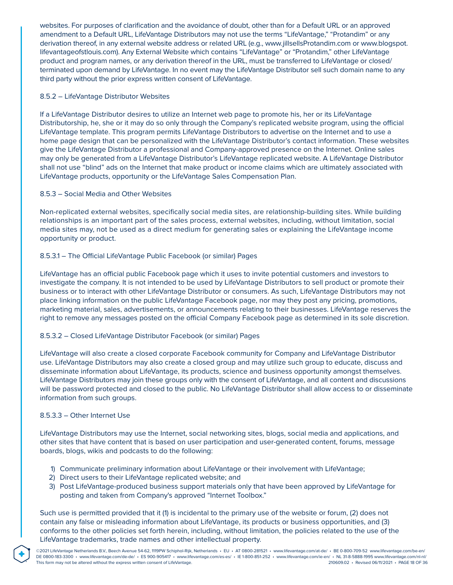websites. For purposes of clarification and the avoidance of doubt, other than for a Default URL or an approved amendment to a Default URL, LifeVantage Distributors may not use the terms "LifeVantage," "Protandim" or any derivation thereof, in any external website address or related URL (e.g., www.jillsellsProtandim.com or www.blogspot. lifevantageofstlouis.com). Any External Website which contains "LifeVantage" or "Protandim," other LifeVantage product and program names, or any derivation thereof in the URL, must be transferred to LifeVantage or closed/ terminated upon demand by LifeVantage. In no event may the LifeVantage Distributor sell such domain name to any third party without the prior express written consent of LifeVantage.

## 8.5.2 – LifeVantage Distributor Websites

If a LifeVantage Distributor desires to utilize an Internet web page to promote his, her or its LifeVantage Distributorship, he, she or it may do so only through the Company's replicated website program, using the official LifeVantage template. This program permits LifeVantage Distributors to advertise on the Internet and to use a home page design that can be personalized with the LifeVantage Distributor's contact information. These websites give the LifeVantage Distributor a professional and Company-approved presence on the Internet. Online sales may only be generated from a LifeVantage Distributor's LifeVantage replicated website. A LifeVantage Distributor shall not use "blind" ads on the Internet that make product or income claims which are ultimately associated with LifeVantage products, opportunity or the LifeVantage Sales Compensation Plan.

# 8.5.3 – Social Media and Other Websites

Non-replicated external websites, specifically social media sites, are relationship-building sites. While building relationships is an important part of the sales process, external websites, including, without limitation, social media sites may, not be used as a direct medium for generating sales or explaining the LifeVantage income opportunity or product.

# 8.5.3.1 – The Official LifeVantage Public Facebook (or similar) Pages

LifeVantage has an official public Facebook page which it uses to invite potential customers and investors to investigate the company. It is not intended to be used by LifeVantage Distributors to sell product or promote their business or to interact with other LifeVantage Distributor or consumers. As such, LifeVantage Distributors may not place linking information on the public LifeVantage Facebook page, nor may they post any pricing, promotions, marketing material, sales, advertisements, or announcements relating to their businesses. LifeVantage reserves the right to remove any messages posted on the official Company Facebook page as determined in its sole discretion.

### 8.5.3.2 – Closed LifeVantage Distributor Facebook (or similar) Pages

LifeVantage will also create a closed corporate Facebook community for Company and LifeVantage Distributor use. LifeVantage Distributors may also create a closed group and may utilize such group to educate, discuss and disseminate information about LifeVantage, its products, science and business opportunity amongst themselves. LifeVantage Distributors may join these groups only with the consent of LifeVantage, and all content and discussions will be password protected and closed to the public. No LifeVantage Distributor shall allow access to or disseminate information from such groups.

### 8.5.3.3 – Other Internet Use

**®**

LifeVantage Distributors may use the Internet, social networking sites, blogs, social media and applications, and other sites that have content that is based on user participation and user-generated content, forums, message boards, blogs, wikis and podcasts to do the following:

- 1) Communicate preliminary information about LifeVantage or their involvement with LifeVantage;
- 2) Direct users to their LifeVantage replicated website; and
- 3) Post LifeVantage-produced business support materials only that have been approved by LifeVantage for posting and taken from Company's approved "Internet Toolbox."

Such use is permitted provided that it (1) is incidental to the primary use of the website or forum, (2) does not contain any false or misleading information about LifeVantage, its products or business opportunities, and (3) conforms to the other policies set forth herein, including, without limitation, the policies related to the use of the LifeVantage trademarks, trade names and other intellectual property.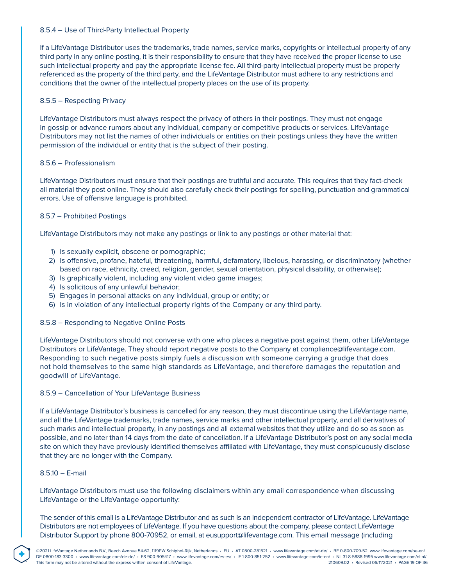### 8.5.4 – Use of Third-Party Intellectual Property

If a LifeVantage Distributor uses the trademarks, trade names, service marks, copyrights or intellectual property of any third party in any online posting, it is their responsibility to ensure that they have received the proper license to use such intellectual property and pay the appropriate license fee. All third-party intellectual property must be properly referenced as the property of the third party, and the LifeVantage Distributor must adhere to any restrictions and conditions that the owner of the intellectual property places on the use of its property.

### 8.5.5 – Respecting Privacy

LifeVantage Distributors must always respect the privacy of others in their postings. They must not engage in gossip or advance rumors about any individual, company or competitive products or services. LifeVantage Distributors may not list the names of other individuals or entities on their postings unless they have the written permission of the individual or entity that is the subject of their posting.

### 8.5.6 – Professionalism

LifeVantage Distributors must ensure that their postings are truthful and accurate. This requires that they fact-check all material they post online. They should also carefully check their postings for spelling, punctuation and grammatical errors. Use of offensive language is prohibited.

### 8.5.7 – Prohibited Postings

LifeVantage Distributors may not make any postings or link to any postings or other material that:

- 1) Is sexually explicit, obscene or pornographic;
- 2) Is offensive, profane, hateful, threatening, harmful, defamatory, libelous, harassing, or discriminatory (whether based on race, ethnicity, creed, religion, gender, sexual orientation, physical disability, or otherwise);
- 3) Is graphically violent, including any violent video game images;
- 4) Is solicitous of any unlawful behavior;
- 5) Engages in personal attacks on any individual, group or entity; or
- 6) Is in violation of any intellectual property rights of the Company or any third party.

### 8.5.8 – Responding to Negative Online Posts

LifeVantage Distributors should not converse with one who places a negative post against them, other LifeVantage Distributors or LifeVantage. They should report negative posts to the Company at compliance@lifevantage.com. Responding to such negative posts simply fuels a discussion with someone carrying a grudge that does not hold themselves to the same high standards as LifeVantage, and therefore damages the reputation and goodwill of LifeVantage.

### 8.5.9 – Cancellation of Your LifeVantage Business

If a LifeVantage Distributor's business is cancelled for any reason, they must discontinue using the LifeVantage name, and all the LifeVantage trademarks, trade names, service marks and other intellectual property, and all derivatives of such marks and intellectual property, in any postings and all external websites that they utilize and do so as soon as possible, and no later than 14 days from the date of cancellation. If a LifeVantage Distributor's post on any social media site on which they have previously identified themselves affiliated with LifeVantage, they must conspicuously disclose that they are no longer with the Company.

### 8.5.10 – E-mail

**®**

LifeVantage Distributors must use the following disclaimers within any email correspondence when discussing LifeVantage or the LifeVantage opportunity:

The sender of this email is a LifeVantage Distributor and as such is an independent contractor of LifeVantage. LifeVantage Distributors are not employees of LifeVantage. If you have questions about the company, please contact LifeVantage Distributor Support by phone 800-70952, or email, at eusupport@lifevantage.com. This email message (including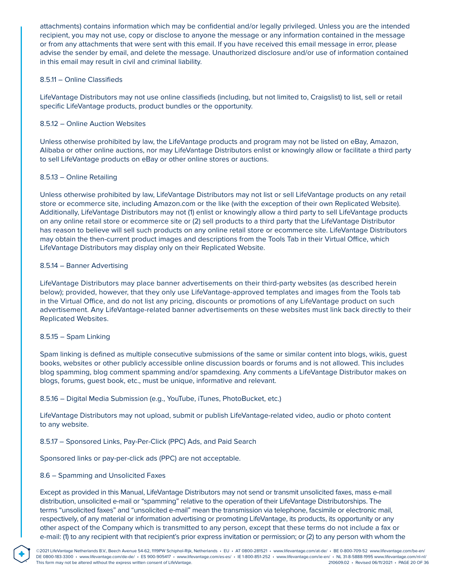attachments) contains information which may be confidential and/or legally privileged. Unless you are the intended recipient, you may not use, copy or disclose to anyone the message or any information contained in the message or from any attachments that were sent with this email. If you have received this email message in error, please advise the sender by email, and delete the message. Unauthorized disclosure and/or use of information contained in this email may result in civil and criminal liability.

### 8.5.11 – Online Classifieds

LifeVantage Distributors may not use online classifieds (including, but not limited to, Craigslist) to list, sell or retail specific LifeVantage products, product bundles or the opportunity.

### 8.5.12 – Online Auction Websites

Unless otherwise prohibited by law, the LifeVantage products and program may not be listed on eBay, Amazon, Alibaba or other online auctions, nor may LifeVantage Distributors enlist or knowingly allow or facilitate a third party to sell LifeVantage products on eBay or other online stores or auctions.

### 8.5.13 – Online Retailing

Unless otherwise prohibited by law, LifeVantage Distributors may not list or sell LifeVantage products on any retail store or ecommerce site, including Amazon.com or the like (with the exception of their own Replicated Website). Additionally, LifeVantage Distributors may not (1) enlist or knowingly allow a third party to sell LifeVantage products on any online retail store or ecommerce site or (2) sell products to a third party that the LifeVantage Distributor has reason to believe will sell such products on any online retail store or ecommerce site. LifeVantage Distributors may obtain the then-current product images and descriptions from the Tools Tab in their Virtual Office, which LifeVantage Distributors may display only on their Replicated Website.

### 8.5.14 – Banner Advertising

LifeVantage Distributors may place banner advertisements on their third-party websites (as described herein below); provided, however, that they only use LifeVantage-approved templates and images from the Tools tab in the Virtual Office, and do not list any pricing, discounts or promotions of any LifeVantage product on such advertisement. Any LifeVantage-related banner advertisements on these websites must link back directly to their Replicated Websites.

#### 8.5.15 – Spam Linking

Spam linking is defined as multiple consecutive submissions of the same or similar content into blogs, wikis, guest books, websites or other publicly accessible online discussion boards or forums and is not allowed. This includes blog spamming, blog comment spamming and/or spamdexing. Any comments a LifeVantage Distributor makes on blogs, forums, guest book, etc., must be unique, informative and relevant.

#### 8.5.16 – Digital Media Submission (e.g., YouTube, iTunes, PhotoBucket, etc.)

LifeVantage Distributors may not upload, submit or publish LifeVantage-related video, audio or photo content to any website.

### 8.5.17 – Sponsored Links, Pay-Per-Click (PPC) Ads, and Paid Search

Sponsored links or pay-per-click ads (PPC) are not acceptable.

### 8.6 – Spamming and Unsolicited Faxes

**®**

Except as provided in this Manual, LifeVantage Distributors may not send or transmit unsolicited faxes, mass e-mail distribution, unsolicited e-mail or "spamming" relative to the operation of their LifeVantage Distributorships. The terms "unsolicited faxes" and "unsolicited e-mail" mean the transmission via telephone, facsimile or electronic mail, respectively, of any material or information advertising or promoting LifeVantage, its products, its opportunity or any other aspect of the Company which is transmitted to any person, except that these terms do not include a fax or e-mail: (1) to any recipient with that recipient's prior express invitation or permission; or (2) to any person with whom the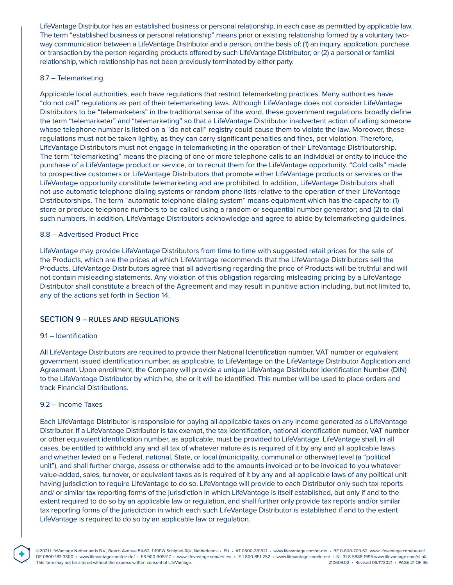LifeVantage Distributor has an established business or personal relationship, in each case as permitted by applicable law. The term "established business or personal relationship" means prior or existing relationship formed by a voluntary twoway communication between a LifeVantage Distributor and a person, on the basis of: (1) an inquiry, application, purchase or transaction by the person regarding products offered by such LifeVantage Distributor; or (2) a personal or familial relationship, which relationship has not been previously terminated by either party.

#### 8.7 – Telemarketing

Applicable local authorities, each have regulations that restrict telemarketing practices. Many authorities have "do not call" regulations as part of their telemarketing laws. Although LifeVantage does not consider LifeVantage Distributors to be "telemarketers" in the traditional sense of the word, these government regulations broadly define the term "telemarketer" and "telemarketing" so that a LifeVantage Distributor inadvertent action of calling someone whose telephone number is listed on a "do not call" registry could cause them to violate the law. Moreover, these regulations must not be taken lightly, as they can carry significant penalties and fines, per violation. Therefore, LifeVantage Distributors must not engage in telemarketing in the operation of their LifeVantage Distributorship. The term "telemarketing" means the placing of one or more telephone calls to an individual or entity to induce the purchase of a LifeVantage product or service, or to recruit them for the LifeVantage opportunity. "Cold calls" made to prospective customers or LifeVantage Distributors that promote either LifeVantage products or services or the LifeVantage opportunity constitute telemarketing and are prohibited. In addition, LifeVantage Distributors shall not use automatic telephone dialing systems or random phone lists relative to the operation of their LifeVantage Distributorships. The term "automatic telephone dialing system" means equipment which has the capacity to: (1) store or produce telephone numbers to be called using a random or sequential number generator; and (2) to dial such numbers. In addition, LifeVantage Distributors acknowledge and agree to abide by telemarketing guidelines.

### 8.8 – Advertised Product Price

LifeVantage may provide LifeVantage Distributors from time to time with suggested retail prices for the sale of the Products, which are the prices at which LifeVantage recommends that the LifeVantage Distributors sell the Products. LifeVantage Distributors agree that all advertising regarding the price of Products will be truthful and will not contain misleading statements. Any violation of this obligation regarding misleading pricing by a LifeVantage Distributor shall constitute a breach of the Agreement and may result in punitive action including, but not limited to, any of the actions set forth in Section 14.

### SECTION 9 – RULES AND REGULATIONS

#### 9.1 – Identification

All LifeVantage Distributors are required to provide their National Identification number, VAT number or equivalent government issued identification number, as applicable, to LifeVantage on the LifeVantage Distributor Application and Agreement. Upon enrollment, the Company will provide a unique LifeVantage Distributor Identification Number (DIN) to the LifeVantage Distributor by which he, she or it will be identified. This number will be used to place orders and track Financial Distributions.

#### 9.2 – Income Taxes

**®**

Each LifeVantage Distributor is responsible for paying all applicable taxes on any income generated as a LifeVantage Distributor. If a LifeVantage Distributor is tax exempt, the tax identification, national identification number, VAT number or other equivalent identification number, as applicable, must be provided to LifeVantage. LifeVantage shall, in all cases, be entitled to withhold any and all tax of whatever nature as is required of it by any and all applicable laws and whether levied on a Federal, national, State, or local (municipality, communal or otherwise) level (a "political unit"), and shall further charge, assess or otherwise add to the amounts invoiced or to be invoiced to you whatever value-added, sales, turnover, or equivalent taxes as is required of it by any and all applicable laws of any political unit having jurisdiction to require LifeVantage to do so. LifeVantage will provide to each Distributor only such tax reports and/ or similar tax reporting forms of the jurisdiction in which LifeVantage is itself established, but only if and to the extent required to do so by an applicable law or regulation, and shall further only provide tax reports and/or similar tax reporting forms of the jurisdiction in which each such LifeVantage Distributor is established if and to the extent LifeVantage is required to do so by an applicable law or regulation.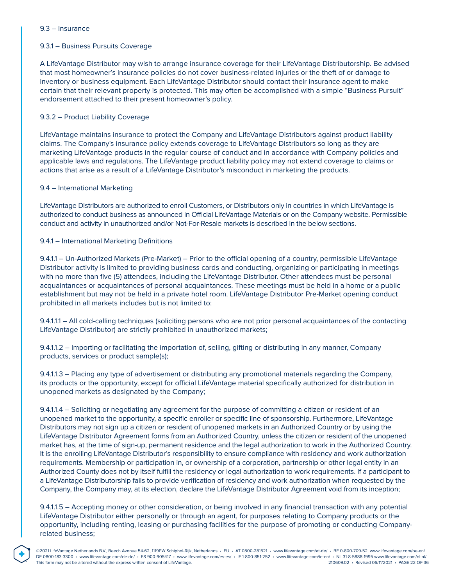#### 9.3 – Insurance

### 9.3.1 – Business Pursuits Coverage

A LifeVantage Distributor may wish to arrange insurance coverage for their LifeVantage Distributorship. Be advised that most homeowner's insurance policies do not cover business-related injuries or the theft of or damage to inventory or business equipment. Each LifeVantage Distributor should contact their insurance agent to make certain that their relevant property is protected. This may often be accomplished with a simple "Business Pursuit" endorsement attached to their present homeowner's policy.

### 9.3.2 – Product Liability Coverage

LifeVantage maintains insurance to protect the Company and LifeVantage Distributors against product liability claims. The Company's insurance policy extends coverage to LifeVantage Distributors so long as they are marketing LifeVantage products in the regular course of conduct and in accordance with Company policies and applicable laws and regulations. The LifeVantage product liability policy may not extend coverage to claims or actions that arise as a result of a LifeVantage Distributor's misconduct in marketing the products.

#### 9.4 – International Marketing

**®**

LifeVantage Distributors are authorized to enroll Customers, or Distributors only in countries in which LifeVantage is authorized to conduct business as announced in Official LifeVantage Materials or on the Company website. Permissible conduct and activity in unauthorized and/or Not-For-Resale markets is described in the below sections.

### 9.4.1 – International Marketing Definitions

9.4.1.1 – Un-Authorized Markets (Pre-Market) – Prior to the official opening of a country, permissible LifeVantage Distributor activity is limited to providing business cards and conducting, organizing or participating in meetings with no more than five (5) attendees, including the LifeVantage Distributor. Other attendees must be personal acquaintances or acquaintances of personal acquaintances. These meetings must be held in a home or a public establishment but may not be held in a private hotel room. LifeVantage Distributor Pre-Market opening conduct prohibited in all markets includes but is not limited to:

9.4.1.1.1 – All cold-calling techniques (soliciting persons who are not prior personal acquaintances of the contacting LifeVantage Distributor) are strictly prohibited in unauthorized markets;

9.4.1.1.2 – Importing or facilitating the importation of, selling, gifting or distributing in any manner, Company products, services or product sample(s);

9.4.1.1.3 – Placing any type of advertisement or distributing any promotional materials regarding the Company, its products or the opportunity, except for official LifeVantage material specifically authorized for distribution in unopened markets as designated by the Company;

9.4.1.1.4 – Soliciting or negotiating any agreement for the purpose of committing a citizen or resident of an unopened market to the opportunity, a specific enroller or specific line of sponsorship. Furthermore, LifeVantage Distributors may not sign up a citizen or resident of unopened markets in an Authorized Country or by using the LifeVantage Distributor Agreement forms from an Authorized Country, unless the citizen or resident of the unopened market has, at the time of sign-up, permanent residence and the legal authorization to work in the Authorized Country. It is the enrolling LifeVantage Distributor's responsibility to ensure compliance with residency and work authorization requirements. Membership or participation in, or ownership of a corporation, partnership or other legal entity in an Authorized County does not by itself fulfill the residency or legal authorization to work requirements. If a participant to a LifeVantage Distributorship fails to provide verification of residency and work authorization when requested by the Company, the Company may, at its election, declare the LifeVantage Distributor Agreement void from its inception;

9.4.1.1.5 – Accepting money or other consideration, or being involved in any financial transaction with any potential LifeVantage Distributor either personally or through an agent, for purposes relating to Company products or the opportunity, including renting, leasing or purchasing facilities for the purpose of promoting or conducting Companyrelated business;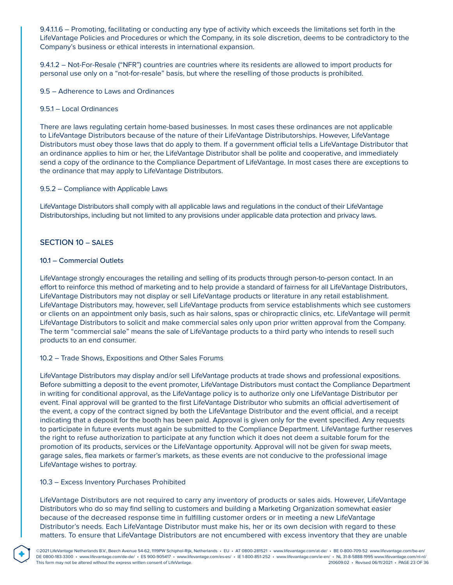9.4.1.1.6 – Promoting, facilitating or conducting any type of activity which exceeds the limitations set forth in the LifeVantage Policies and Procedures or which the Company, in its sole discretion, deems to be contradictory to the Company's business or ethical interests in international expansion.

9.4.1.2 – Not-For-Resale ("NFR") countries are countries where its residents are allowed to import products for personal use only on a "not-for-resale" basis, but where the reselling of those products is prohibited.

9.5 – Adherence to Laws and Ordinances

#### 9.5.1 – Local Ordinances

There are laws regulating certain home-based businesses. In most cases these ordinances are not applicable to LifeVantage Distributors because of the nature of their LifeVantage Distributorships. However, LifeVantage Distributors must obey those laws that do apply to them. If a government official tells a LifeVantage Distributor that an ordinance applies to him or her, the LifeVantage Distributor shall be polite and cooperative, and immediately send a copy of the ordinance to the Compliance Department of LifeVantage. In most cases there are exceptions to the ordinance that may apply to LifeVantage Distributors.

### 9.5.2 – Compliance with Applicable Laws

LifeVantage Distributors shall comply with all applicable laws and regulations in the conduct of their LifeVantage Distributorships, including but not limited to any provisions under applicable data protection and privacy laws.

### SECTION 10 – SALES

### 10.1 – Commercial Outlets

LifeVantage strongly encourages the retailing and selling of its products through person-to-person contact. In an effort to reinforce this method of marketing and to help provide a standard of fairness for all LifeVantage Distributors, LifeVantage Distributors may not display or sell LifeVantage products or literature in any retail establishment. LifeVantage Distributors may, however, sell LifeVantage products from service establishments which see customers or clients on an appointment only basis, such as hair salons, spas or chiropractic clinics, etc. LifeVantage will permit LifeVantage Distributors to solicit and make commercial sales only upon prior written approval from the Company. The term "commercial sale" means the sale of LifeVantage products to a third party who intends to resell such products to an end consumer.

#### 10.2 – Trade Shows, Expositions and Other Sales Forums

LifeVantage Distributors may display and/or sell LifeVantage products at trade shows and professional expositions. Before submitting a deposit to the event promoter, LifeVantage Distributors must contact the Compliance Department in writing for conditional approval, as the LifeVantage policy is to authorize only one LifeVantage Distributor per event. Final approval will be granted to the first LifeVantage Distributor who submits an official advertisement of the event, a copy of the contract signed by both the LifeVantage Distributor and the event official, and a receipt indicating that a deposit for the booth has been paid. Approval is given only for the event specified. Any requests to participate in future events must again be submitted to the Compliance Department. LifeVantage further reserves the right to refuse authorization to participate at any function which it does not deem a suitable forum for the promotion of its products, services or the LifeVantage opportunity. Approval will not be given for swap meets, garage sales, flea markets or farmer's markets, as these events are not conducive to the professional image LifeVantage wishes to portray.

#### 10.3 – Excess Inventory Purchases Prohibited

**®**

LifeVantage Distributors are not required to carry any inventory of products or sales aids. However, LifeVantage Distributors who do so may find selling to customers and building a Marketing Organization somewhat easier because of the decreased response time in fulfilling customer orders or in meeting a new LifeVantage Distributor's needs. Each LifeVantage Distributor must make his, her or its own decision with regard to these matters. To ensure that LifeVantage Distributors are not encumbered with excess inventory that they are unable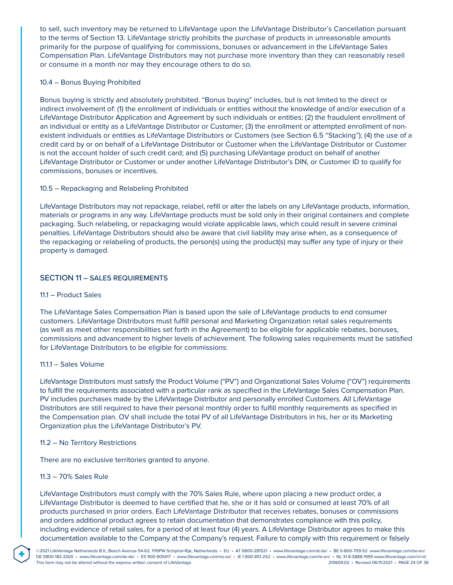to sell, such inventory may be returned to LifeVantage upon the LifeVantage Distributor's Cancellation pursuant to the terms of Section 13. LifeVantage strictly prohibits the purchase of products in unreasonable amounts primarily for the purpose of qualifying for commissions, bonuses or advancement in the LifeVantage Sales Compensation Plan. LifeVantage Distributors may not purchase more inventory than they can reasonably resell or consume in a month nor may they encourage others to do so.

### 10.4 – Bonus Buying Prohibited

Bonus buying is strictly and absolutely prohibited. "Bonus buying" includes, but is not limited to the direct or indirect involvement of: (1) the enrollment of individuals or entities without the knowledge of and/or execution of a LifeVantage Distributor Application and Agreement by such individuals or entities; (2) the fraudulent enrollment of an individual or entity as a LifeVantage Distributor or Customer; (3) the enrollment or attempted enrollment of nonexistent individuals or entities as LifeVantage Distributors or Customers (see Section 6.5 "Stacking"); (4) the use of a credit card by or on behalf of a LifeVantage Distributor or Customer when the LifeVantage Distributor or Customer is not the account holder of such credit card; and (5) purchasing LifeVantage product on behalf of another LifeVantage Distributor or Customer or under another LifeVantage Distributor's DIN, or Customer ID to qualify for commissions, bonuses or incentives.

### 10.5 – Repackaging and Relabeling Prohibited

LifeVantage Distributors may not repackage, relabel, refill or alter the labels on any LifeVantage products, information, materials or programs in any way. LifeVantage products must be sold only in their original containers and complete packaging. Such relabeling, or repackaging would violate applicable laws, which could result in severe criminal penalties. LifeVantage Distributors should also be aware that civil liability may arise when, as a consequence of the repackaging or relabeling of products, the person(s) using the product(s) may suffer any type of injury or their property is damaged.

### SECTION 11 – SALES REQUIREMENTS

#### 11.1 – Product Sales

The LifeVantage Sales Compensation Plan is based upon the sale of LifeVantage products to end consumer customers. LifeVantage Distributors must fulfill personal and Marketing Organization retail sales requirements (as well as meet other responsibilities set forth in the Agreement) to be eligible for applicable rebates, bonuses, commissions and advancement to higher levels of achievement. The following sales requirements must be satisfied for LifeVantage Distributors to be eligible for commissions:

#### 11.1.1 – Sales Volume

LifeVantage Distributors must satisfy the Product Volume ("PV") and Organizational Sales Volume ("OV") requirements to fulfill the requirements associated with a particular rank as specified in the LifeVantage Sales Compensation Plan. PV includes purchases made by the LifeVantage Distributor and personally enrolled Customers. All LifeVantage Distributors are still required to have their personal monthly order to fulfill monthly requirements as specified in the Compensation plan. OV shall include the total PV of all LifeVantage Distributors in his, her or its Marketing Organization plus the LifeVantage Distributor's PV.

#### 11.2 – No Territory Restrictions

There are no exclusive territories granted to anyone.

### 11.3 – 70% Sales Rule

**®**

LifeVantage Distributors must comply with the 70% Sales Rule, where upon placing a new product order, a LifeVantage Distributor is deemed to have certified that he, she or it has sold or consumed at least 70% of all products purchased in prior orders. Each LifeVantage Distributor that receives rebates, bonuses or commissions and orders additional product agrees to retain documentation that demonstrates compliance with this policy, including evidence of retail sales, for a period of at least four (4) years. A LifeVantage Distributor agrees to make this documentation available to the Company at the Company's request. Failure to comply with this requirement or falsely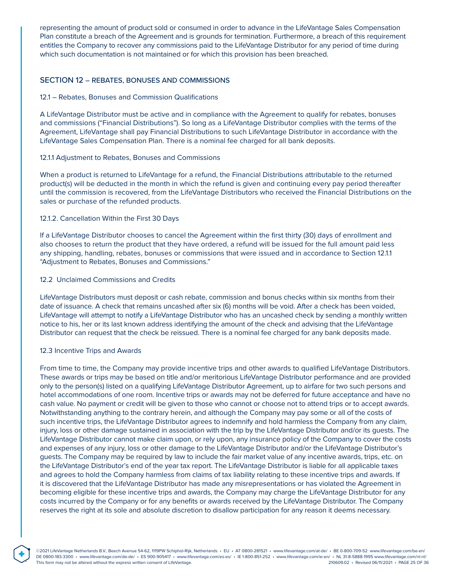representing the amount of product sold or consumed in order to advance in the LifeVantage Sales Compensation Plan constitute a breach of the Agreement and is grounds for termination. Furthermore, a breach of this requirement entitles the Company to recover any commissions paid to the LifeVantage Distributor for any period of time during which such documentation is not maintained or for which this provision has been breached.

### SECTION 12 – REBATES, BONUSES AND COMMISSIONS

#### 12.1 – Rebates, Bonuses and Commission Qualifications

A LifeVantage Distributor must be active and in compliance with the Agreement to qualify for rebates, bonuses and commissions ("Financial Distributions"). So long as a LifeVantage Distributor complies with the terms of the Agreement, LifeVantage shall pay Financial Distributions to such LifeVantage Distributor in accordance with the LifeVantage Sales Compensation Plan. There is a nominal fee charged for all bank deposits.

#### 12.1.1 Adjustment to Rebates, Bonuses and Commissions

When a product is returned to LifeVantage for a refund, the Financial Distributions attributable to the returned product(s) will be deducted in the month in which the refund is given and continuing every pay period thereafter until the commission is recovered, from the LifeVantage Distributors who received the Financial Distributions on the sales or purchase of the refunded products.

#### 12.1.2. Cancellation Within the First 30 Days

If a LifeVantage Distributor chooses to cancel the Agreement within the first thirty (30) days of enrollment and also chooses to return the product that they have ordered, a refund will be issued for the full amount paid less any shipping, handling, rebates, bonuses or commissions that were issued and in accordance to Section 12.1.1 "Adjustment to Rebates, Bonuses and Commissions."

#### 12.2 Unclaimed Commissions and Credits

LifeVantage Distributors must deposit or cash rebate, commission and bonus checks within six months from their date of issuance. A check that remains uncashed after six (6) months will be void. After a check has been voided, LifeVantage will attempt to notify a LifeVantage Distributor who has an uncashed check by sending a monthly written notice to his, her or its last known address identifying the amount of the check and advising that the LifeVantage Distributor can request that the check be reissued. There is a nominal fee charged for any bank deposits made.

#### 12.3 Incentive Trips and Awards

**®**

From time to time, the Company may provide incentive trips and other awards to qualified LifeVantage Distributors. These awards or trips may be based on title and/or meritorious LifeVantage Distributor performance and are provided only to the person(s) listed on a qualifying LifeVantage Distributor Agreement, up to airfare for two such persons and hotel accommodations of one room. Incentive trips or awards may not be deferred for future acceptance and have no cash value. No payment or credit will be given to those who cannot or choose not to attend trips or to accept awards. Notwithstanding anything to the contrary herein, and although the Company may pay some or all of the costs of such incentive trips, the LifeVantage Distributor agrees to indemnify and hold harmless the Company from any claim, injury, loss or other damage sustained in association with the trip by the LifeVantage Distributor and/or its guests. The LifeVantage Distributor cannot make claim upon, or rely upon, any insurance policy of the Company to cover the costs and expenses of any injury, loss or other damage to the LifeVantage Distributor and/or the LifeVantage Distributor's guests. The Company may be required by law to include the fair market value of any incentive awards, trips, etc. on the LifeVantage Distributor's end of the year tax report. The LifeVantage Distributor is liable for all applicable taxes and agrees to hold the Company harmless from claims of tax liability relating to these incentive trips and awards. If it is discovered that the LifeVantage Distributor has made any misrepresentations or has violated the Agreement in becoming eligible for these incentive trips and awards, the Company may charge the LifeVantage Distributor for any costs incurred by the Company or for any benefits or awards received by the LifeVantage Distributor. The Company reserves the right at its sole and absolute discretion to disallow participation for any reason it deems necessary.

©2021 LifeVantage Netherlands B.V., Beech Avenue 54-62, 1119PW Schiphol-Rijk, Netherlands • EU • AT 0800-281521 • www.lifevantage.com/at-de/ • BE 0-800-709-52 www.lifevantage.com/be-en/ DE 0800-183-3300 • www.lifevantage.com/de-de/ • ES 900-905417 • www.lifevantage.com/es-es/ • IE 1-800-851-252 • www.lifevantage.com/ie-en/ • NL 31-8-5888-1995 www.lifevantage.com/nl-nl/ This form may not be altered without the express written consent of LifeVantage. 210609.02 • Revised 06/11/2021 • PAGE 25 OF 36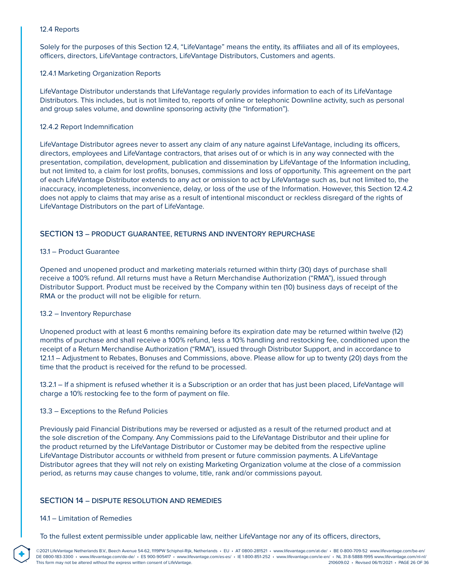### 12.4 Reports

Solely for the purposes of this Section 12.4, "LifeVantage" means the entity, its affiliates and all of its employees, officers, directors, LifeVantage contractors, LifeVantage Distributors, Customers and agents.

### 12.4.1 Marketing Organization Reports

LifeVantage Distributor understands that LifeVantage regularly provides information to each of its LifeVantage Distributors. This includes, but is not limited to, reports of online or telephonic Downline activity, such as personal and group sales volume, and downline sponsoring activity (the "Information").

### 12.4.2 Report Indemnification

LifeVantage Distributor agrees never to assert any claim of any nature against LifeVantage, including its officers, directors, employees and LifeVantage contractors, that arises out of or which is in any way connected with the presentation, compilation, development, publication and dissemination by LifeVantage of the Information including, but not limited to, a claim for lost profits, bonuses, commissions and loss of opportunity. This agreement on the part of each LifeVantage Distributor extends to any act or omission to act by LifeVantage such as, but not limited to, the inaccuracy, incompleteness, inconvenience, delay, or loss of the use of the Information. However, this Section 12.4.2 does not apply to claims that may arise as a result of intentional misconduct or reckless disregard of the rights of LifeVantage Distributors on the part of LifeVantage.

# SECTION 13 – PRODUCT GUARANTEE, RETURNS AND INVENTORY REPURCHASE

### 13.1 – Product Guarantee

Opened and unopened product and marketing materials returned within thirty (30) days of purchase shall receive a 100% refund. All returns must have a Return Merchandise Authorization ("RMA"), issued through Distributor Support. Product must be received by the Company within ten (10) business days of receipt of the RMA or the product will not be eligible for return.

### 13.2 – Inventory Repurchase

Unopened product with at least 6 months remaining before its expiration date may be returned within twelve (12) months of purchase and shall receive a 100% refund, less a 10% handling and restocking fee, conditioned upon the receipt of a Return Merchandise Authorization ("RMA"), issued through Distributor Support, and in accordance to 12.1.1 – Adjustment to Rebates, Bonuses and Commissions, above. Please allow for up to twenty (20) days from the time that the product is received for the refund to be processed.

13.2.1 – If a shipment is refused whether it is a Subscription or an order that has just been placed, LifeVantage will charge a 10% restocking fee to the form of payment on file.

#### 13.3 – Exceptions to the Refund Policies

Previously paid Financial Distributions may be reversed or adjusted as a result of the returned product and at the sole discretion of the Company. Any Commissions paid to the LifeVantage Distributor and their upline for the product returned by the LifeVantage Distributor or Customer may be debited from the respective upline LifeVantage Distributor accounts or withheld from present or future commission payments. A LifeVantage Distributor agrees that they will not rely on existing Marketing Organization volume at the close of a commission period, as returns may cause changes to volume, title, rank and/or commissions payout.

### SECTION 14 – DISPUTE RESOLUTION AND REMEDIES

#### 14.1 – Limitation of Remedies

**®**

To the fullest extent permissible under applicable law, neither LifeVantage nor any of its officers, directors,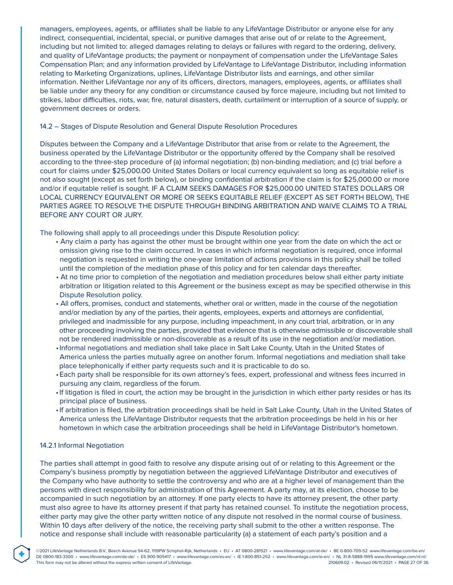managers, employees, agents, or affiliates shall be liable to any LifeVantage Distributor or anyone else for any indirect, consequential, incidental, special, or punitive damages that arise out of or relate to the Agreement, including but not limited to: alleged damages relating to delays or failures with regard to the ordering, delivery, and quality of LifeVantage products; the payment or nonpayment of compensation under the LifeVantage Sales Compensation Plan; and any information provided by LifeVantage to LifeVantage Distributor, including information relating to Marketing Organizations, uplines, LifeVantage Distributor lists and earnings, and other similar information. Neither LifeVantage nor any of its officers, directors, managers, employees, agents, or affiliates shall be liable under any theory for any condition or circumstance caused by force majeure, including but not limited to strikes, labor difficulties, riots, war, fire, natural disasters, death, curtailment or interruption of a source of supply, or government decrees or orders.

#### 14.2 – Stages of Dispute Resolution and General Dispute Resolution Procedures

Disputes between the Company and a LifeVantage Distributor that arise from or relate to the Agreement, the business operated by the LifeVantage Distributor or the opportunity offered by the Company shall be resolved according to the three-step procedure of (a) informal negotiation; (b) non-binding mediation; and (c) trial before a court for claims under \$25,000.00 United States Dollars or local currency equivalent so long as equitable relief is not also sought (except as set forth below), or binding confidential arbitration if the claim is for \$25,000.00 or more and/or if equitable relief is sought. IF A CLAIM SEEKS DAMAGES FOR \$25,000.00 UNITED STATES DOLLARS OR LOCAL CURRENCY EQUIVALENT OR MORE OR SEEKS EQUITABLE RELIEF (EXCEPT AS SET FORTH BELOW), THE PARTIES AGREE TO RESOLVE THE DISPUTE THROUGH BINDING ARBITRATION AND WAIVE CLAIMS TO A TRIAL BEFORE ANY COURT OR JURY.

The following shall apply to all proceedings under this Dispute Resolution policy:

- Any claim a party has against the other must be brought within one year from the date on which the act or omission giving rise to the claim occurred. In cases in which informal negotiation is required, once informal negotiation is requested in writing the one-year limitation of actions provisions in this policy shall be tolled until the completion of the mediation phase of this policy and for ten calendar days thereafter.
- At no time prior to completion of the negotiation and mediation procedures below shall either party initiate arbitration or litigation related to this Agreement or the business except as may be specified otherwise in this Dispute Resolution policy.
- All offers, promises, conduct and statements, whether oral or written, made in the course of the negotiation and/or mediation by any of the parties, their agents, employees, experts and attorneys are confidential, privileged and inadmissible for any purpose, including impeachment, in any court trial, arbitration, or in any other proceeding involving the parties, provided that evidence that is otherwise admissible or discoverable shall not be rendered inadmissible or non-discoverable as a result of its use in the negotiation and/or mediation.
- Informal negotiations and mediation shall take place in Salt Lake County, Utah in the United States of America unless the parties mutually agree on another forum. Informal negotiations and mediation shall take place telephonically if either party requests such and it is practicable to do so.
- Each party shall be responsible for its own attorney's fees, expert, professional and witness fees incurred in pursuing any claim, regardless of the forum.
- If litigation is filed in court, the action may be brought in the jurisdiction in which either party resides or has its principal place of business.
- If arbitration is filed, the arbitration proceedings shall be held in Salt Lake County, Utah in the United States of America unless the LifeVantage Distributor requests that the arbitration proceedings be held in his or her hometown in which case the arbitration proceedings shall be held in LifeVantage Distributor's hometown.

#### 14.2.1 Informal Negotiation

**®**

The parties shall attempt in good faith to resolve any dispute arising out of or relating to this Agreement or the Company's business promptly by negotiation between the aggrieved LifeVantage Distributor and executives of the Company who have authority to settle the controversy and who are at a higher level of management than the persons with direct responsibility for administration of this Agreement. A party may, at its election, choose to be accompanied in such negotiation by an attorney. If one party elects to have its attorney present, the other party must also agree to have its attorney present if that party has retained counsel. To institute the negotiation process, either party may give the other party written notice of any dispute not resolved in the normal course of business. Within 10 days after delivery of the notice, the receiving party shall submit to the other a written response. The notice and response shall include with reasonable particularity (a) a statement of each party's position and a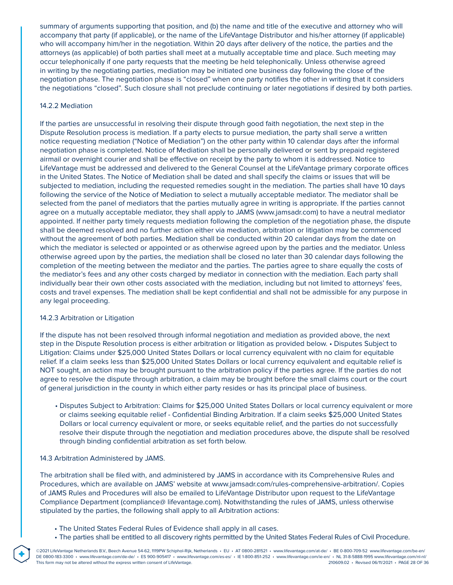summary of arguments supporting that position, and (b) the name and title of the executive and attorney who will accompany that party (if applicable), or the name of the LifeVantage Distributor and his/her attorney (if applicable) who will accompany him/her in the negotiation. Within 20 days after delivery of the notice, the parties and the attorneys (as applicable) of both parties shall meet at a mutually acceptable time and place. Such meeting may occur telephonically if one party requests that the meeting be held telephonically. Unless otherwise agreed in writing by the negotiating parties, mediation may be initiated one business day following the close of the negotiation phase. The negotiation phase is "closed" when one party notifies the other in writing that it considers the negotiations "closed". Such closure shall not preclude continuing or later negotiations if desired by both parties.

### 14.2.2 Mediation

If the parties are unsuccessful in resolving their dispute through good faith negotiation, the next step in the Dispute Resolution process is mediation. If a party elects to pursue mediation, the party shall serve a written notice requesting mediation ("Notice of Mediation") on the other party within 10 calendar days after the informal negotiation phase is completed. Notice of Mediation shall be personally delivered or sent by prepaid registered airmail or overnight courier and shall be effective on receipt by the party to whom it is addressed. Notice to LifeVantage must be addressed and delivered to the General Counsel at the LifeVantage primary corporate offices in the United States. The Notice of Mediation shall be dated and shall specify the claims or issues that will be subjected to mediation, including the requested remedies sought in the mediation. The parties shall have 10 days following the service of the Notice of Mediation to select a mutually acceptable mediator. The mediator shall be selected from the panel of mediators that the parties mutually agree in writing is appropriate. If the parties cannot agree on a mutually acceptable mediator, they shall apply to JAMS (www.jamsadr.com) to have a neutral mediator appointed. If neither party timely requests mediation following the completion of the negotiation phase, the dispute shall be deemed resolved and no further action either via mediation, arbitration or litigation may be commenced without the agreement of both parties. Mediation shall be conducted within 20 calendar days from the date on which the mediator is selected or appointed or as otherwise agreed upon by the parties and the mediator. Unless otherwise agreed upon by the parties, the mediation shall be closed no later than 30 calendar days following the completion of the meeting between the mediator and the parties. The parties agree to share equally the costs of the mediator's fees and any other costs charged by mediator in connection with the mediation. Each party shall individually bear their own other costs associated with the mediation, including but not limited to attorneys' fees, costs and travel expenses. The mediation shall be kept confidential and shall not be admissible for any purpose in any legal proceeding.

### 14.2.3 Arbitration or Litigation

If the dispute has not been resolved through informal negotiation and mediation as provided above, the next step in the Dispute Resolution process is either arbitration or litigation as provided below. • Disputes Subject to Litigation: Claims under \$25,000 United States Dollars or local currency equivalent with no claim for equitable relief. If a claim seeks less than \$25,000 United States Dollars or local currency equivalent and equitable relief is NOT sought, an action may be brought pursuant to the arbitration policy if the parties agree. If the parties do not agree to resolve the dispute through arbitration, a claim may be brought before the small claims court or the court of general jurisdiction in the county in which either party resides or has its principal place of business.

 • Disputes Subject to Arbitration: Claims for \$25,000 United States Dollars or local currency equivalent or more or claims seeking equitable relief - Confidential Binding Arbitration. If a claim seeks \$25,000 United States Dollars or local currency equivalent or more, or seeks equitable relief, and the parties do not successfully resolve their dispute through the negotiation and mediation procedures above, the dispute shall be resolved through binding confidential arbitration as set forth below.

#### 14.3 Arbitration Administered by JAMS.

**®**

The arbitration shall be filed with, and administered by JAMS in accordance with its Comprehensive Rules and Procedures, which are available on JAMS' website at www.jamsadr.com/rules-comprehensive-arbitration/. Copies of JAMS Rules and Procedures will also be emailed to LifeVantage Distributor upon request to the LifeVantage Compliance Department (compliance@ lifevantage.com). Notwithstanding the rules of JAMS, unless otherwise stipulated by the parties, the following shall apply to all Arbitration actions:

- The United States Federal Rules of Evidence shall apply in all cases.
- The parties shall be entitled to all discovery rights permitted by the United States Federal Rules of Civil Procedure.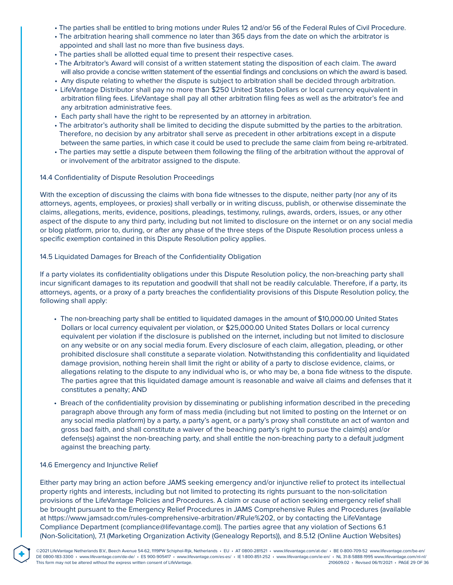- The parties shall be entitled to bring motions under Rules 12 and/or 56 of the Federal Rules of Civil Procedure.
- The arbitration hearing shall commence no later than 365 days from the date on which the arbitrator is appointed and shall last no more than five business days.
- The parties shall be allotted equal time to present their respective cases.
- The Arbitrator's Award will consist of a written statement stating the disposition of each claim. The award will also provide a concise written statement of the essential findings and conclusions on which the award is based.
- Any dispute relating to whether the dispute is subject to arbitration shall be decided through arbitration.
- LifeVantage Distributor shall pay no more than \$250 United States Dollars or local currency equivalent in arbitration filing fees. LifeVantage shall pay all other arbitration filing fees as well as the arbitrator's fee and any arbitration administrative fees.
- Each party shall have the right to be represented by an attorney in arbitration.
- The arbitrator's authority shall be limited to deciding the dispute submitted by the parties to the arbitration. Therefore, no decision by any arbitrator shall serve as precedent in other arbitrations except in a dispute between the same parties, in which case it could be used to preclude the same claim from being re-arbitrated.
- The parties may settle a dispute between them following the filing of the arbitration without the approval of or involvement of the arbitrator assigned to the dispute.

#### 14.4 Confidentiality of Dispute Resolution Proceedings

With the exception of discussing the claims with bona fide witnesses to the dispute, neither party (nor any of its attorneys, agents, employees, or proxies) shall verbally or in writing discuss, publish, or otherwise disseminate the claims, allegations, merits, evidence, positions, pleadings, testimony, rulings, awards, orders, issues, or any other aspect of the dispute to any third party, including but not limited to disclosure on the internet or on any social media or blog platform, prior to, during, or after any phase of the three steps of the Dispute Resolution process unless a specific exemption contained in this Dispute Resolution policy applies.

### 14.5 Liquidated Damages for Breach of the Confidentiality Obligation

If a party violates its confidentiality obligations under this Dispute Resolution policy, the non-breaching party shall incur significant damages to its reputation and goodwill that shall not be readily calculable. Therefore, if a party, its attorneys, agents, or a proxy of a party breaches the confidentiality provisions of this Dispute Resolution policy, the following shall apply:

- The non-breaching party shall be entitled to liquidated damages in the amount of \$10,000.00 United States Dollars or local currency equivalent per violation, or \$25,000.00 United States Dollars or local currency equivalent per violation if the disclosure is published on the internet, including but not limited to disclosure on any website or on any social media forum. Every disclosure of each claim, allegation, pleading, or other prohibited disclosure shall constitute a separate violation. Notwithstanding this confidentiality and liquidated damage provision, nothing herein shall limit the right or ability of a party to disclose evidence, claims, or allegations relating to the dispute to any individual who is, or who may be, a bona fide witness to the dispute. The parties agree that this liquidated damage amount is reasonable and waive all claims and defenses that it constitutes a penalty; AND
- Breach of the confidentiality provision by disseminating or publishing information described in the preceding paragraph above through any form of mass media (including but not limited to posting on the Internet or on any social media platform) by a party, a party's agent, or a party's proxy shall constitute an act of wanton and gross bad faith, and shall constitute a waiver of the beaching party's right to pursue the claim(s) and/or defense(s) against the non-breaching party, and shall entitle the non-breaching party to a default judgment against the breaching party.

### 14.6 Emergency and Injunctive Relief

**®**

Either party may bring an action before JAMS seeking emergency and/or injunctive relief to protect its intellectual property rights and interests, including but not limited to protecting its rights pursuant to the non-solicitation provisions of the LifeVantage Policies and Procedures. A claim or cause of action seeking emergency relief shall be brought pursuant to the Emergency Relief Procedures in JAMS Comprehensive Rules and Procedures (available at https://www.jamsadr.com/rules-comprehensive-arbitration/#Rule%202, or by contacting the LifeVantage Compliance Department (compliance@lifevantage.com)). The parties agree that any violation of Sections 6.1 (Non-Solicitation), 7.1 (Marketing Organization Activity (Genealogy Reports)), and 8.5.12 (Online Auction Websites)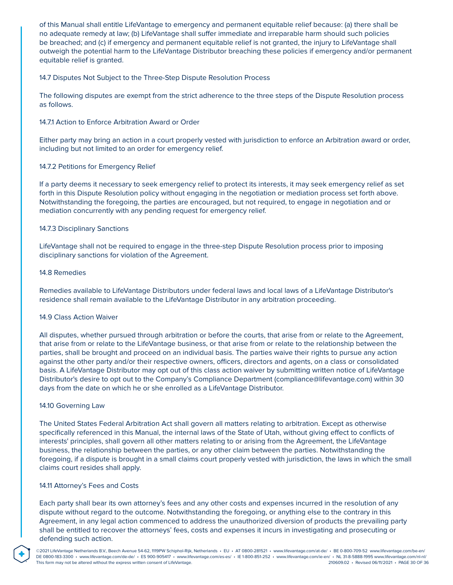of this Manual shall entitle LifeVantage to emergency and permanent equitable relief because: (a) there shall be no adequate remedy at law; (b) LifeVantage shall suffer immediate and irreparable harm should such policies be breached; and (c) if emergency and permanent equitable relief is not granted, the injury to LifeVantage shall outweigh the potential harm to the LifeVantage Distributor breaching these policies if emergency and/or permanent equitable relief is granted.

### 14.7 Disputes Not Subject to the Three-Step Dispute Resolution Process

The following disputes are exempt from the strict adherence to the three steps of the Dispute Resolution process as follows.

### 14.7.1 Action to Enforce Arbitration Award or Order

Either party may bring an action in a court properly vested with jurisdiction to enforce an Arbitration award or order, including but not limited to an order for emergency relief.

### 14.7.2 Petitions for Emergency Relief

If a party deems it necessary to seek emergency relief to protect its interests, it may seek emergency relief as set forth in this Dispute Resolution policy without engaging in the negotiation or mediation process set forth above. Notwithstanding the foregoing, the parties are encouraged, but not required, to engage in negotiation and or mediation concurrently with any pending request for emergency relief.

#### 14.7.3 Disciplinary Sanctions

LifeVantage shall not be required to engage in the three-step Dispute Resolution process prior to imposing disciplinary sanctions for violation of the Agreement.

#### 14.8 Remedies

Remedies available to LifeVantage Distributors under federal laws and local laws of a LifeVantage Distributor's residence shall remain available to the LifeVantage Distributor in any arbitration proceeding.

#### 14.9 Class Action Waiver

All disputes, whether pursued through arbitration or before the courts, that arise from or relate to the Agreement, that arise from or relate to the LifeVantage business, or that arise from or relate to the relationship between the parties, shall be brought and proceed on an individual basis. The parties waive their rights to pursue any action against the other party and/or their respective owners, officers, directors and agents, on a class or consolidated basis. A LifeVantage Distributor may opt out of this class action waiver by submitting written notice of LifeVantage Distributor's desire to opt out to the Company's Compliance Department (compliance@lifevantage.com) within 30 days from the date on which he or she enrolled as a LifeVantage Distributor.

#### 14.10 Governing Law

The United States Federal Arbitration Act shall govern all matters relating to arbitration. Except as otherwise specifically referenced in this Manual, the internal laws of the State of Utah, without giving effect to conflicts of interests' principles, shall govern all other matters relating to or arising from the Agreement, the LifeVantage business, the relationship between the parties, or any other claim between the parties. Notwithstanding the foregoing, if a dispute is brought in a small claims court properly vested with jurisdiction, the laws in which the small claims court resides shall apply.

#### 14.11 Attorney's Fees and Costs

**®**

Each party shall bear its own attorney's fees and any other costs and expenses incurred in the resolution of any dispute without regard to the outcome. Notwithstanding the foregoing, or anything else to the contrary in this Agreement, in any legal action commenced to address the unauthorized diversion of products the prevailing party shall be entitled to recover the attorneys' fees, costs and expenses it incurs in investigating and prosecuting or defending such action.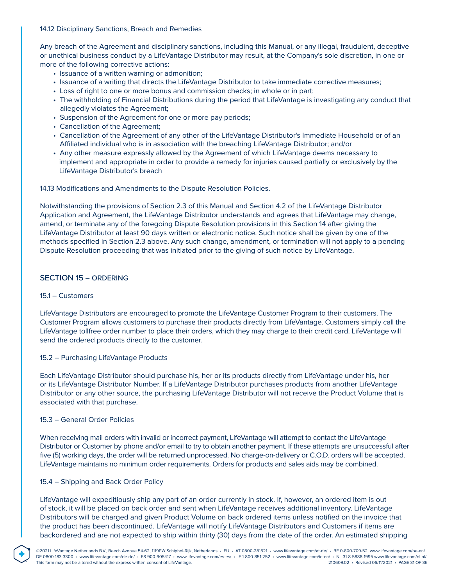14.12 Disciplinary Sanctions, Breach and Remedies

Any breach of the Agreement and disciplinary sanctions, including this Manual, or any illegal, fraudulent, deceptive or unethical business conduct by a LifeVantage Distributor may result, at the Company's sole discretion, in one or more of the following corrective actions:

- Issuance of a written warning or admonition;
- Issuance of a writing that directs the LifeVantage Distributor to take immediate corrective measures;
- Loss of right to one or more bonus and commission checks; in whole or in part;
- The withholding of Financial Distributions during the period that LifeVantage is investigating any conduct that allegedly violates the Agreement;
- Suspension of the Agreement for one or more pay periods;
- Cancellation of the Agreement;
- Cancellation of the Agreement of any other of the LifeVantage Distributor's Immediate Household or of an Affiliated individual who is in association with the breaching LifeVantage Distributor; and/or
- Any other measure expressly allowed by the Agreement of which LifeVantage deems necessary to implement and appropriate in order to provide a remedy for injuries caused partially or exclusively by the LifeVantage Distributor's breach

14.13 Modifications and Amendments to the Dispute Resolution Policies.

Notwithstanding the provisions of Section 2.3 of this Manual and Section 4.2 of the LifeVantage Distributor Application and Agreement, the LifeVantage Distributor understands and agrees that LifeVantage may change, amend, or terminate any of the foregoing Dispute Resolution provisions in this Section 14 after giving the LifeVantage Distributor at least 90 days written or electronic notice. Such notice shall be given by one of the methods specified in Section 2.3 above. Any such change, amendment, or termination will not apply to a pending Dispute Resolution proceeding that was initiated prior to the giving of such notice by LifeVantage.

### SECTION 15 – ORDERING

#### 15.1 – Customers

LifeVantage Distributors are encouraged to promote the LifeVantage Customer Program to their customers. The Customer Program allows customers to purchase their products directly from LifeVantage. Customers simply call the LifeVantage tollfree order number to place their orders, which they may charge to their credit card. LifeVantage will send the ordered products directly to the customer.

#### 15.2 – Purchasing LifeVantage Products

Each LifeVantage Distributor should purchase his, her or its products directly from LifeVantage under his, her or its LifeVantage Distributor Number. If a LifeVantage Distributor purchases products from another LifeVantage Distributor or any other source, the purchasing LifeVantage Distributor will not receive the Product Volume that is associated with that purchase.

#### 15.3 – General Order Policies

**®**

When receiving mail orders with invalid or incorrect payment, LifeVantage will attempt to contact the LifeVantage Distributor or Customer by phone and/or email to try to obtain another payment. If these attempts are unsuccessful after five (5) working days, the order will be returned unprocessed. No charge-on-delivery or C.O.D. orders will be accepted. LifeVantage maintains no minimum order requirements. Orders for products and sales aids may be combined.

#### 15.4 – Shipping and Back Order Policy

LifeVantage will expeditiously ship any part of an order currently in stock. If, however, an ordered item is out of stock, it will be placed on back order and sent when LifeVantage receives additional inventory. LifeVantage Distributors will be charged and given Product Volume on back ordered items unless notified on the invoice that the product has been discontinued. LifeVantage will notify LifeVantage Distributors and Customers if items are backordered and are not expected to ship within thirty (30) days from the date of the order. An estimated shipping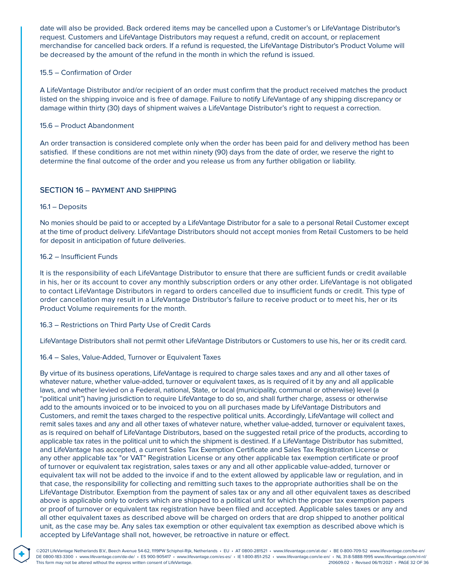date will also be provided. Back ordered items may be cancelled upon a Customer's or LifeVantage Distributor's request. Customers and LifeVantage Distributors may request a refund, credit on account, or replacement merchandise for cancelled back orders. If a refund is requested, the LifeVantage Distributor's Product Volume will be decreased by the amount of the refund in the month in which the refund is issued.

### 15.5 – Confirmation of Order

A LifeVantage Distributor and/or recipient of an order must confirm that the product received matches the product listed on the shipping invoice and is free of damage. Failure to notify LifeVantage of any shipping discrepancy or damage within thirty (30) days of shipment waives a LifeVantage Distributor's right to request a correction.

### 15.6 – Product Abandonment

An order transaction is considered complete only when the order has been paid for and delivery method has been satisfied. If these conditions are not met within ninety (90) days from the date of order, we reserve the right to determine the final outcome of the order and you release us from any further obligation or liability.

### SECTION 16 – PAYMENT AND SHIPPING

### 16.1 – Deposits

**®**

No monies should be paid to or accepted by a LifeVantage Distributor for a sale to a personal Retail Customer except at the time of product delivery. LifeVantage Distributors should not accept monies from Retail Customers to be held for deposit in anticipation of future deliveries.

### 16.2 – Insufficient Funds

It is the responsibility of each LifeVantage Distributor to ensure that there are sufficient funds or credit available in his, her or its account to cover any monthly subscription orders or any other order. LifeVantage is not obligated to contact LifeVantage Distributors in regard to orders cancelled due to insufficient funds or credit. This type of order cancellation may result in a LifeVantage Distributor's failure to receive product or to meet his, her or its Product Volume requirements for the month.

### 16.3 – Restrictions on Third Party Use of Credit Cards

LifeVantage Distributors shall not permit other LifeVantage Distributors or Customers to use his, her or its credit card.

### 16.4 – Sales, Value-Added, Turnover or Equivalent Taxes

By virtue of its business operations, LifeVantage is required to charge sales taxes and any and all other taxes of whatever nature, whether value-added, turnover or equivalent taxes, as is required of it by any and all applicable laws, and whether levied on a Federal, national, State, or local (municipality, communal or otherwise) level (a "political unit") having jurisdiction to require LifeVantage to do so, and shall further charge, assess or otherwise add to the amounts invoiced or to be invoiced to you on all purchases made by LifeVantage Distributors and Customers, and remit the taxes charged to the respective political units. Accordingly, LifeVantage will collect and remit sales taxes and any and all other taxes of whatever nature, whether value-added, turnover or equivalent taxes, as is required on behalf of LifeVantage Distributors, based on the suggested retail price of the products, according to applicable tax rates in the political unit to which the shipment is destined. If a LifeVantage Distributor has submitted, and LifeVantage has accepted, a current Sales Tax Exemption Certificate and Sales Tax Registration License or any other applicable tax "or VAT" Registration License or any other applicable tax exemption certificate or proof of turnover or equivalent tax registration, sales taxes or any and all other applicable value-added, turnover or equivalent tax will not be added to the invoice if and to the extent allowed by applicable law or regulation, and in that case, the responsibility for collecting and remitting such taxes to the appropriate authorities shall be on the LifeVantage Distributor. Exemption from the payment of sales tax or any and all other equivalent taxes as described above is applicable only to orders which are shipped to a political unit for which the proper tax exemption papers or proof of turnover or equivalent tax registration have been filed and accepted. Applicable sales taxes or any and all other equivalent taxes as described above will be charged on orders that are drop shipped to another political unit, as the case may be. Any sales tax exemption or other equivalent tax exemption as described above which is accepted by LifeVantage shall not, however, be retroactive in nature or effect.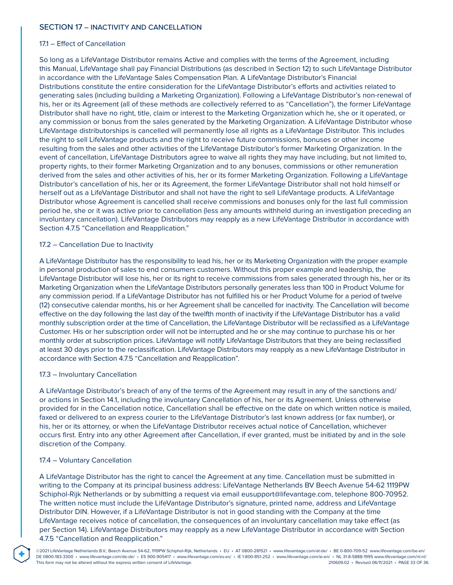### SECTION 17 – INACTIVITY AND CANCELLATION

#### 17.1 – Effect of Cancellation

So long as a LifeVantage Distributor remains Active and complies with the terms of the Agreement, including this Manual, LifeVantage shall pay Financial Distributions (as described in Section 12) to such LifeVantage Distributor in accordance with the LifeVantage Sales Compensation Plan. A LifeVantage Distributor's Financial Distributions constitute the entire consideration for the LifeVantage Distributor's efforts and activities related to generating sales (including building a Marketing Organization). Following a LifeVantage Distributor's non-renewal of his, her or its Agreement (all of these methods are collectively referred to as "Cancellation"), the former LifeVantage Distributor shall have no right, title, claim or interest to the Marketing Organization which he, she or it operated, or any commission or bonus from the sales generated by the Marketing Organization. A LifeVantage Distributor whose LifeVantage distributorships is cancelled will permanently lose all rights as a LifeVantage Distributor. This includes the right to sell LifeVantage products and the right to receive future commissions, bonuses or other income resulting from the sales and other activities of the LifeVantage Distributor's former Marketing Organization. In the event of cancellation, LifeVantage Distributors agree to waive all rights they may have including, but not limited to, property rights, to their former Marketing Organization and to any bonuses, commissions or other remuneration derived from the sales and other activities of his, her or its former Marketing Organization. Following a LifeVantage Distributor's cancellation of his, her or its Agreement, the former LifeVantage Distributor shall not hold himself or herself out as a LifeVantage Distributor and shall not have the right to sell LifeVantage products. A LifeVantage Distributor whose Agreement is cancelled shall receive commissions and bonuses only for the last full commission period he, she or it was active prior to cancellation (less any amounts withheld during an investigation preceding an involuntary cancellation). LifeVantage Distributors may reapply as a new LifeVantage Distributor in accordance with Section 4.7.5 "Cancellation and Reapplication."

#### 17.2 – Cancellation Due to Inactivity

A LifeVantage Distributor has the responsibility to lead his, her or its Marketing Organization with the proper example in personal production of sales to end consumers customers. Without this proper example and leadership, the LifeVantage Distributor will lose his, her or its right to receive commissions from sales generated through his, her or its Marketing Organization when the LifeVantage Distributors personally generates less than 100 in Product Volume for any commission period. If a LifeVantage Distributor has not fulfilled his or her Product Volume for a period of twelve (12) consecutive calendar months, his or her Agreement shall be cancelled for inactivity. The Cancellation will become effective on the day following the last day of the twelfth month of inactivity if the LifeVantage Distributor has a valid monthly subscription order at the time of Cancellation, the LifeVantage Distributor will be reclassified as a LifeVantage Customer. His or her subscription order will not be interrupted and he or she may continue to purchase his or her monthly order at subscription prices. LifeVantage will notify LifeVantage Distributors that they are being reclassified at least 30 days prior to the reclassification. LifeVantage Distributors may reapply as a new LifeVantage Distributor in accordance with Section 4.7.5 "Cancellation and Reapplication".

#### 17.3 – Involuntary Cancellation

A LifeVantage Distributor's breach of any of the terms of the Agreement may result in any of the sanctions and/ or actions in Section 14.1, including the involuntary Cancellation of his, her or its Agreement. Unless otherwise provided for in the Cancellation notice, Cancellation shall be effective on the date on which written notice is mailed, faxed or delivered to an express courier to the LifeVantage Distributor's last known address (or fax number), or his, her or its attorney, or when the LifeVantage Distributor receives actual notice of Cancellation, whichever occurs first. Entry into any other Agreement after Cancellation, if ever granted, must be initiated by and in the sole discretion of the Company.

#### 17.4 – Voluntary Cancellation

**®**

A LifeVantage Distributor has the right to cancel the Agreement at any time. Cancellation must be submitted in writing to the Company at its principal business address: LifeVantage Netherlands BV Beech Avenue 54-62 1119PW Schiphol-Rijk Netherlands or by submitting a request via email eusupport@lifevantage.com, telephone 800-70952. The written notice must include the LifeVantage Distributor's signature, printed name, address and LifeVantage Distributor DIN. However, if a LifeVantage Distributor is not in good standing with the Company at the time LifeVantage receives notice of cancellation, the consequences of an involuntary cancellation may take effect (as per Section 14). LifeVantage Distributors may reapply as a new LifeVantage Distributor in accordance with Section 4.7.5 "Cancellation and Reapplication."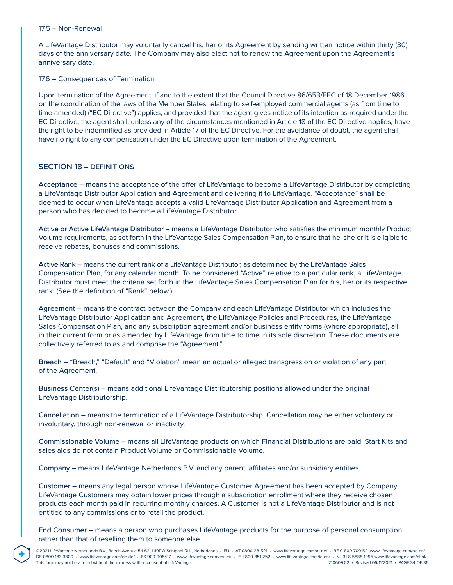#### 17.5 – Non-Renewal

A LifeVantage Distributor may voluntarily cancel his, her or its Agreement by sending written notice within thirty (30) days of the anniversary date. The Company may also elect not to renew the Agreement upon the Agreement's anniversary date.

### 17.6 – Consequences of Termination

Upon termination of the Agreement, if and to the extent that the Council Directive 86/653/EEC of 18 December 1986 on the coordination of the laws of the Member States relating to self-employed commercial agents (as from time to time amended) ("EC Directive") applies, and provided that the agent gives notice of its intention as required under the EC Directive, the agent shall, unless any of the circumstances mentioned in Article 18 of the EC Directive applies, have the right to be indemnified as provided in Article 17 of the EC Directive. For the avoidance of doubt, the agent shall have no right to any compensation under the EC Directive upon termination of the Agreement.

# SECTION 18 – DEFINITIONS

**®**

Acceptance – means the acceptance of the offer of LifeVantage to become a LifeVantage Distributor by completing a LifeVantage Distributor Application and Agreement and delivering it to LifeVantage. "Acceptance" shall be deemed to occur when LifeVantage accepts a valid LifeVantage Distributor Application and Agreement from a person who has decided to become a LifeVantage Distributor.

Active or Active LifeVantage Distributor – means a LifeVantage Distributor who satisfies the minimum monthly Product Volume requirements, as set forth in the LifeVantage Sales Compensation Plan, to ensure that he, she or it is eligible to receive rebates, bonuses and commissions.

Active Rank – means the current rank of a LifeVantage Distributor, as determined by the LifeVantage Sales Compensation Plan, for any calendar month. To be considered "Active" relative to a particular rank, a LifeVantage Distributor must meet the criteria set forth in the LifeVantage Sales Compensation Plan for his, her or its respective rank. (See the definition of "Rank" below.)

Agreement – means the contract between the Company and each LifeVantage Distributor which includes the LifeVantage Distributor Application and Agreement, the LifeVantage Policies and Procedures, the LifeVantage Sales Compensation Plan, and any subscription agreement and/or business entity forms (where appropriate), all in their current form or as amended by LifeVantage from time to time in its sole discretion. These documents are collectively referred to as and comprise the "Agreement."

Breach – "Breach," "Default" and "Violation" mean an actual or alleged transgression or violation of any part of the Agreement.

Business Center(s) – means additional LifeVantage Distributorship positions allowed under the original LifeVantage Distributorship.

Cancellation – means the termination of a LifeVantage Distributorship. Cancellation may be either voluntary or involuntary, through non-renewal or inactivity.

Commissionable Volume – means all LifeVantage products on which Financial Distributions are paid. Start Kits and sales aids do not contain Product Volume or Commissionable Volume.

Company – means LifeVantage Netherlands B.V. and any parent, affiliates and/or subsidiary entities.

Customer – means any legal person whose LifeVantage Customer Agreement has been accepted by Company. LifeVantage Customers may obtain lower prices through a subscription enrollment where they receive chosen products each month paid in recurring monthly charges. A Customer is not a LifeVantage Distributor and is not entitled to any commissions or to retail the product.

End Consumer – means a person who purchases LifeVantage products for the purpose of personal consumption rather than that of reselling them to someone else.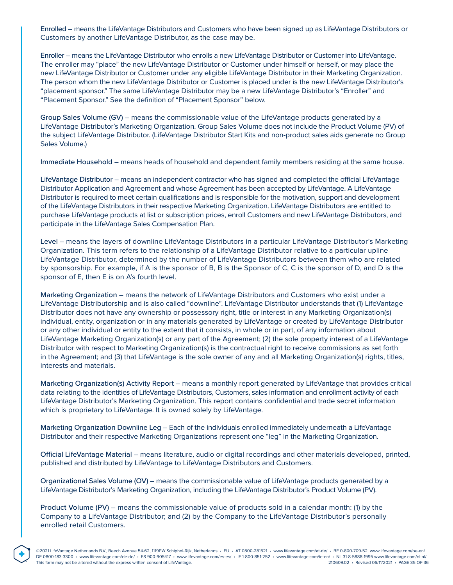Enrolled – means the LifeVantage Distributors and Customers who have been signed up as LifeVantage Distributors or Customers by another LifeVantage Distributor, as the case may be.

Enroller – means the LifeVantage Distributor who enrolls a new LifeVantage Distributor or Customer into LifeVantage. The enroller may "place" the new LifeVantage Distributor or Customer under himself or herself, or may place the new LifeVantage Distributor or Customer under any eligible LifeVantage Distributor in their Marketing Organization. The person whom the new LifeVantage Distributor or Customer is placed under is the new LifeVantage Distributor's "placement sponsor." The same LifeVantage Distributor may be a new LifeVantage Distributor's "Enroller" and "Placement Sponsor." See the definition of "Placement Sponsor" below.

Group Sales Volume (GV) – means the commissionable value of the LifeVantage products generated by a LifeVantage Distributor's Marketing Organization. Group Sales Volume does not include the Product Volume (PV) of the subject LifeVantage Distributor. (LifeVantage Distributor Start Kits and non-product sales aids generate no Group Sales Volume.)

Immediate Household – means heads of household and dependent family members residing at the same house.

LifeVantage Distributor – means an independent contractor who has signed and completed the official LifeVantage Distributor Application and Agreement and whose Agreement has been accepted by LifeVantage. A LifeVantage Distributor is required to meet certain qualifications and is responsible for the motivation, support and development of the LifeVantage Distributors in their respective Marketing Organization. LifeVantage Distributors are entitled to purchase LifeVantage products at list or subscription prices, enroll Customers and new LifeVantage Distributors, and participate in the LifeVantage Sales Compensation Plan.

Level – means the layers of downline LifeVantage Distributors in a particular LifeVantage Distributor's Marketing Organization. This term refers to the relationship of a LifeVantage Distributor relative to a particular upline LifeVantage Distributor, determined by the number of LifeVantage Distributors between them who are related by sponsorship. For example, if A is the sponsor of B, B is the Sponsor of C, C is the sponsor of D, and D is the sponsor of E, then E is on A's fourth level.

Marketing Organization – means the network of LifeVantage Distributors and Customers who exist under a LifeVantage Distributorship and is also called "downline". LifeVantage Distributor understands that (1) LifeVantage Distributor does not have any ownership or possessory right, title or interest in any Marketing Organization(s) individual, entity, organization or in any materials generated by LifeVantage or created by LifeVantage Distributor or any other individual or entity to the extent that it consists, in whole or in part, of any information about LifeVantage Marketing Organization(s) or any part of the Agreement; (2) the sole property interest of a LifeVantage Distributor with respect to Marketing Organization(s) is the contractual right to receive commissions as set forth in the Agreement; and (3) that LifeVantage is the sole owner of any and all Marketing Organization(s) rights, titles, interests and materials.

Marketing Organization(s) Activity Report – means a monthly report generated by LifeVantage that provides critical data relating to the identities of LifeVantage Distributors, Customers, sales information and enrollment activity of each LifeVantage Distributor's Marketing Organization. This report contains confidential and trade secret information which is proprietary to LifeVantage. It is owned solely by LifeVantage.

Marketing Organization Downline Leg – Each of the individuals enrolled immediately underneath a LifeVantage Distributor and their respective Marketing Organizations represent one "leg" in the Marketing Organization.

Official LifeVantage Material – means literature, audio or digital recordings and other materials developed, printed, published and distributed by LifeVantage to LifeVantage Distributors and Customers.

Organizational Sales Volume (OV) – means the commissionable value of LifeVantage products generated by a LifeVantage Distributor's Marketing Organization, including the LifeVantage Distributor's Product Volume (PV).

Product Volume (PV) – means the commissionable value of products sold in a calendar month: (1) by the Company to a LifeVantage Distributor; and (2) by the Company to the LifeVantage Distributor's personally enrolled retail Customers.